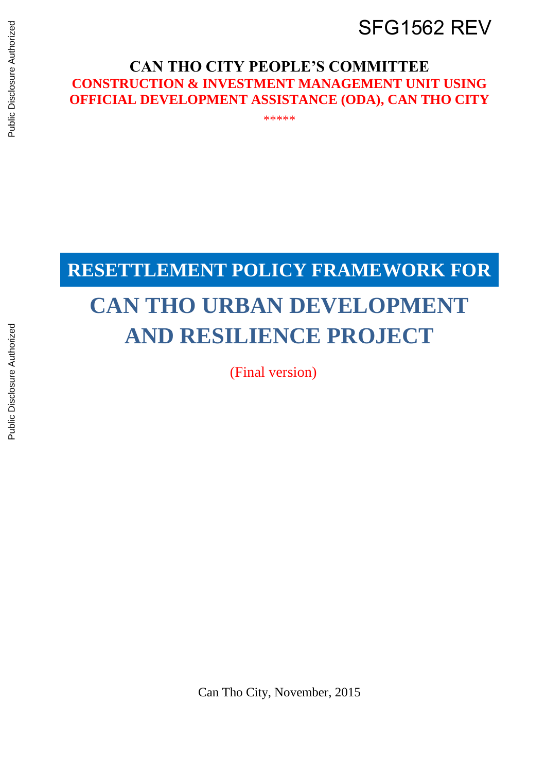## SFG1562 REV

#### **CAN THO CITY PEOPLE'S COMMITTEE CONSTRUCTION & INVESTMENT MANAGEMENT UNIT USING OFFICIAL DEVELOPMENT ASSISTANCE (ODA), CAN THO CITY**

\*\*\*\*\*

# **RESETTLEMENT POLICY FRAMEWORK FOR**

# **CAN THO URBAN DEVELOPMENT AND RESILIENCE PROJECT**

(Final version)

Can Tho City, November, 2015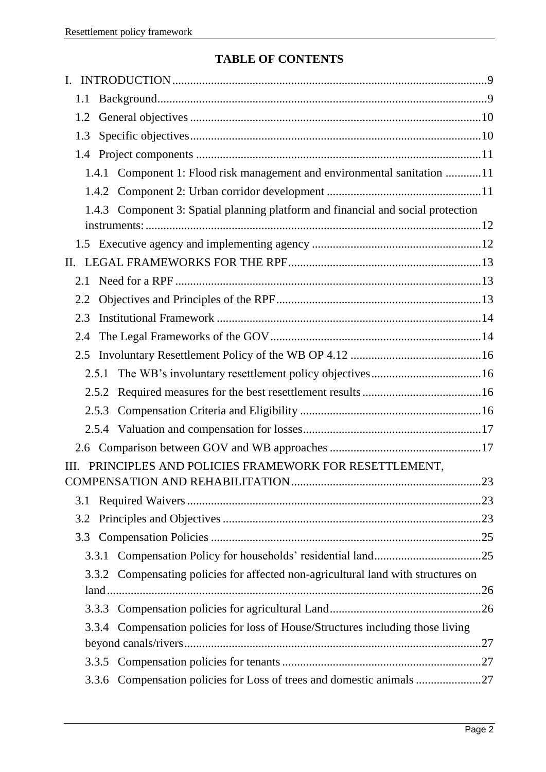#### **TABLE OF CONTENTS**

| L.   |     |       |                                                                                   |  |
|------|-----|-------|-----------------------------------------------------------------------------------|--|
|      | 1.1 |       |                                                                                   |  |
|      | 1.2 |       |                                                                                   |  |
|      | 1.3 |       |                                                                                   |  |
|      |     |       |                                                                                   |  |
|      |     |       | 1.4.1 Component 1: Flood risk management and environmental sanitation 11          |  |
|      |     |       |                                                                                   |  |
|      |     |       | 1.4.3 Component 3: Spatial planning platform and financial and social protection  |  |
|      |     |       |                                                                                   |  |
|      |     |       |                                                                                   |  |
| II.  |     |       |                                                                                   |  |
|      | 2.1 |       |                                                                                   |  |
|      | 2.2 |       |                                                                                   |  |
|      | 2.3 |       |                                                                                   |  |
|      | 2.4 |       |                                                                                   |  |
|      | 2.5 |       |                                                                                   |  |
|      |     | 2.5.1 |                                                                                   |  |
|      |     |       |                                                                                   |  |
|      |     |       |                                                                                   |  |
|      |     |       |                                                                                   |  |
|      |     |       |                                                                                   |  |
| III. |     |       | PRINCIPLES AND POLICIES FRAMEWORK FOR RESETTLEMENT,                               |  |
|      |     |       |                                                                                   |  |
|      | 3.1 |       |                                                                                   |  |
|      | 3.2 |       |                                                                                   |  |
|      | 3.3 |       |                                                                                   |  |
|      |     |       |                                                                                   |  |
|      |     |       | 3.3.2 Compensating policies for affected non-agricultural land with structures on |  |
|      |     |       |                                                                                   |  |
|      |     |       |                                                                                   |  |
|      |     |       | 3.3.4 Compensation policies for loss of House/Structures including those living   |  |
|      |     |       |                                                                                   |  |
|      |     |       |                                                                                   |  |
|      |     |       | 3.3.6 Compensation policies for Loss of trees and domestic animals 27             |  |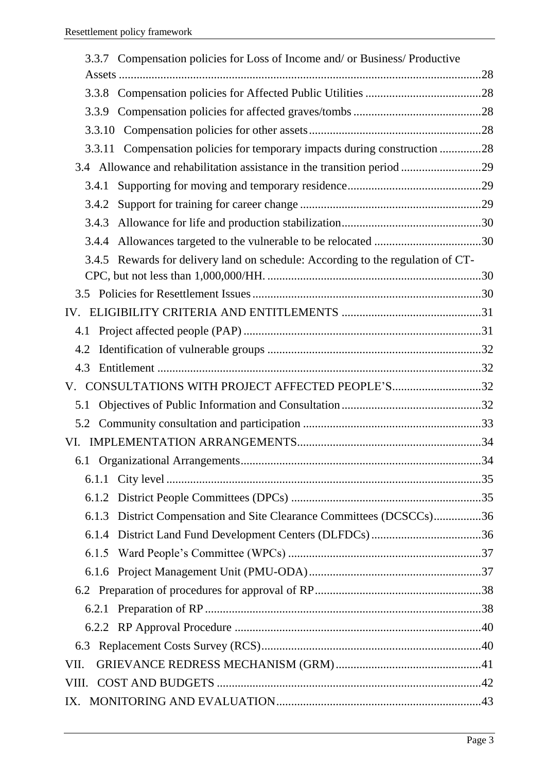| 3.3.7 Compensation policies for Loss of Income and/ or Business/ Productive     |  |
|---------------------------------------------------------------------------------|--|
|                                                                                 |  |
|                                                                                 |  |
| 3.3.9                                                                           |  |
|                                                                                 |  |
| 3.3.11 Compensation policies for temporary impacts during construction 28       |  |
| 3.4 Allowance and rehabilitation assistance in the transition period 29         |  |
| 3.4.1                                                                           |  |
| 3.4.2                                                                           |  |
| 3.4.3                                                                           |  |
| 3.4.4                                                                           |  |
| 3.4.5 Rewards for delivery land on schedule: According to the regulation of CT- |  |
|                                                                                 |  |
| 3.5                                                                             |  |
|                                                                                 |  |
| 4.1                                                                             |  |
| 4.2                                                                             |  |
| 4.3                                                                             |  |
| CONSULTATIONS WITH PROJECT AFFECTED PEOPLE'S32                                  |  |
| 5.1                                                                             |  |
| 5.2                                                                             |  |
|                                                                                 |  |
|                                                                                 |  |
|                                                                                 |  |
|                                                                                 |  |
| 6.1.3 District Compensation and Site Clearance Committees (DCSCCs)36            |  |
|                                                                                 |  |
| 6.1.5                                                                           |  |
|                                                                                 |  |
|                                                                                 |  |
|                                                                                 |  |
|                                                                                 |  |
| 6.3                                                                             |  |
| VII.                                                                            |  |
|                                                                                 |  |
| IX.                                                                             |  |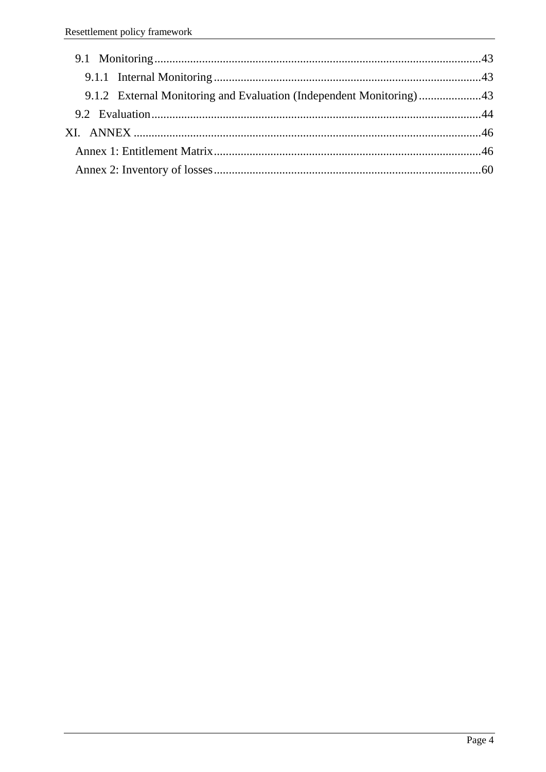| 9.1.2 External Monitoring and Evaluation (Independent Monitoring)43 |  |
|---------------------------------------------------------------------|--|
|                                                                     |  |
|                                                                     |  |
|                                                                     |  |
|                                                                     |  |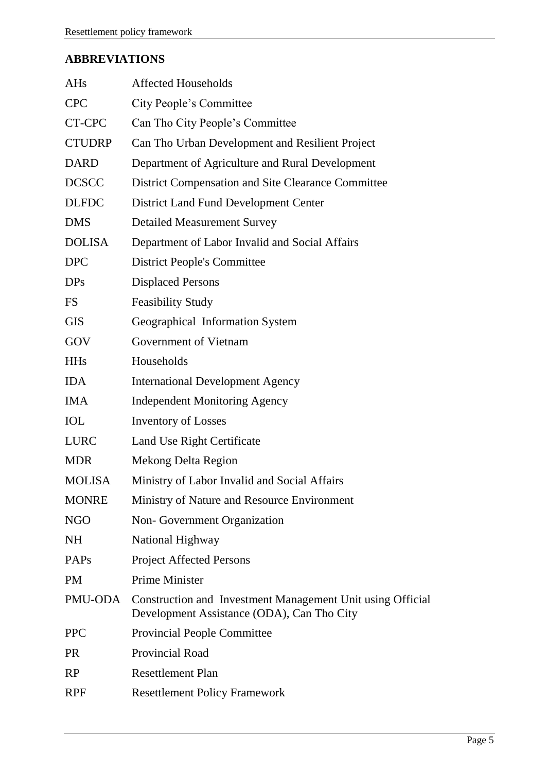### **ABBREVIATIONS**

| <b>AHs</b>    | <b>Affected Households</b>                                                                               |
|---------------|----------------------------------------------------------------------------------------------------------|
| <b>CPC</b>    | City People's Committee                                                                                  |
| CT-CPC        | Can Tho City People's Committee                                                                          |
| <b>CTUDRP</b> | Can Tho Urban Development and Resilient Project                                                          |
| <b>DARD</b>   | Department of Agriculture and Rural Development                                                          |
| <b>DCSCC</b>  | District Compensation and Site Clearance Committee                                                       |
| <b>DLFDC</b>  | <b>District Land Fund Development Center</b>                                                             |
| <b>DMS</b>    | <b>Detailed Measurement Survey</b>                                                                       |
| <b>DOLISA</b> | Department of Labor Invalid and Social Affairs                                                           |
| <b>DPC</b>    | <b>District People's Committee</b>                                                                       |
| <b>DPs</b>    | <b>Displaced Persons</b>                                                                                 |
| <b>FS</b>     | <b>Feasibility Study</b>                                                                                 |
| <b>GIS</b>    | Geographical Information System                                                                          |
| GOV           | Government of Vietnam                                                                                    |
| <b>HHs</b>    | Households                                                                                               |
| <b>IDA</b>    | <b>International Development Agency</b>                                                                  |
| <b>IMA</b>    | <b>Independent Monitoring Agency</b>                                                                     |
| <b>IOL</b>    | <b>Inventory of Losses</b>                                                                               |
| <b>LURC</b>   | Land Use Right Certificate                                                                               |
| <b>MDR</b>    | Mekong Delta Region                                                                                      |
| <b>MOLISA</b> | Ministry of Labor Invalid and Social Affairs                                                             |
| <b>MONRE</b>  | Ministry of Nature and Resource Environment                                                              |
| <b>NGO</b>    | Non-Government Organization                                                                              |
| <b>NH</b>     | National Highway                                                                                         |
| <b>PAPs</b>   | <b>Project Affected Persons</b>                                                                          |
| <b>PM</b>     | <b>Prime Minister</b>                                                                                    |
| PMU-ODA       | Construction and Investment Management Unit using Official<br>Development Assistance (ODA), Can Tho City |
| <b>PPC</b>    | <b>Provincial People Committee</b>                                                                       |
| <b>PR</b>     | Provincial Road                                                                                          |
| RP            | <b>Resettlement Plan</b>                                                                                 |
| <b>RPF</b>    | <b>Resettlement Policy Framework</b>                                                                     |
|               |                                                                                                          |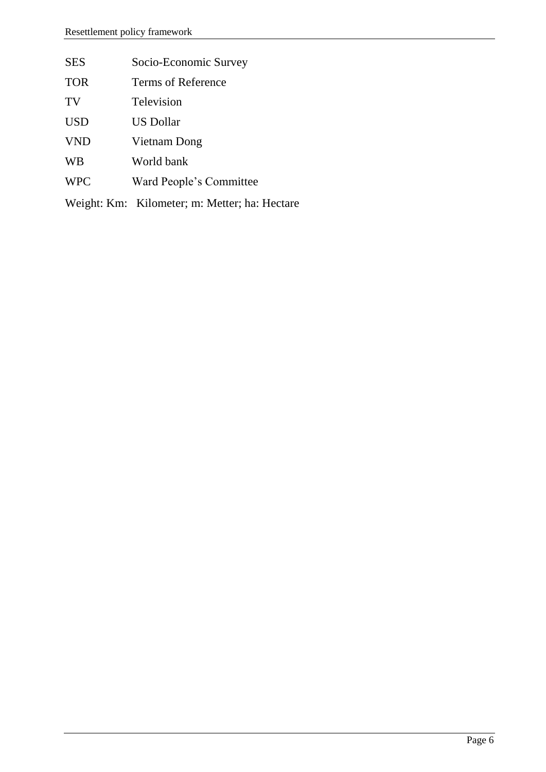| <b>SES</b> | Socio-Economic Survey                         |
|------------|-----------------------------------------------|
| <b>TOR</b> | Terms of Reference                            |
| TV         | Television                                    |
| <b>USD</b> | <b>US Dollar</b>                              |
| <b>VND</b> | Vietnam Dong                                  |
| <b>WB</b>  | World bank                                    |
| <b>WPC</b> | Ward People's Committee                       |
|            | Weight: Km: Kilometer; m: Metter; ha: Hectare |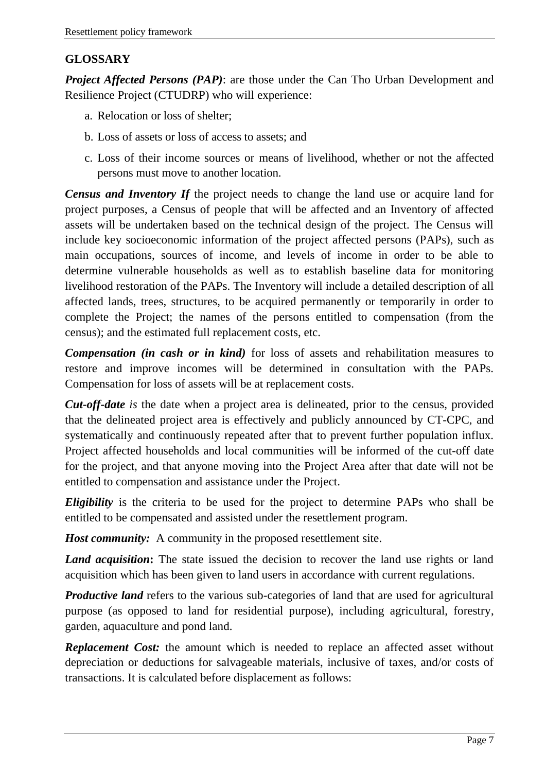#### **GLOSSARY**

*Project Affected Persons (PAP)*: are those under the Can Tho Urban Development and Resilience Project (CTUDRP) who will experience:

- a. Relocation or loss of shelter;
- b. Loss of assets or loss of access to assets; and
- c. Loss of their income sources or means of livelihood, whether or not the affected persons must move to another location.

*Census and Inventory If* the project needs to change the land use or acquire land for project purposes, a Census of people that will be affected and an Inventory of affected assets will be undertaken based on the technical design of the project. The Census will include key socioeconomic information of the project affected persons (PAPs), such as main occupations, sources of income, and levels of income in order to be able to determine vulnerable households as well as to establish baseline data for monitoring livelihood restoration of the PAPs. The Inventory will include a detailed description of all affected lands, trees, structures, to be acquired permanently or temporarily in order to complete the Project; the names of the persons entitled to compensation (from the census); and the estimated full replacement costs, etc.

*Compensation (in cash or in kind)* for loss of assets and rehabilitation measures to restore and improve incomes will be determined in consultation with the PAPs. Compensation for loss of assets will be at replacement costs.

*Cut-off-date is* the date when a project area is delineated, prior to the census, provided that the delineated project area is effectively and publicly announced by CT-CPC, and systematically and continuously repeated after that to prevent further population influx. Project affected households and local communities will be informed of the cut-off date for the project, and that anyone moving into the Project Area after that date will not be entitled to compensation and assistance under the Project.

*Eligibility* is the criteria to be used for the project to determine PAPs who shall be entitled to be compensated and assisted under the resettlement program.

*Host community:* A community in the proposed resettlement site.

*Land acquisition*: The state issued the decision to recover the land use rights or land acquisition which has been given to land users in accordance with current regulations.

*Productive land* refers to the various sub-categories of land that are used for agricultural purpose (as opposed to land for residential purpose), including agricultural, forestry, garden, aquaculture and pond land.

*Replacement Cost:* the amount which is needed to replace an affected asset without depreciation or deductions for salvageable materials, inclusive of taxes, and/or costs of transactions. It is calculated before displacement as follows: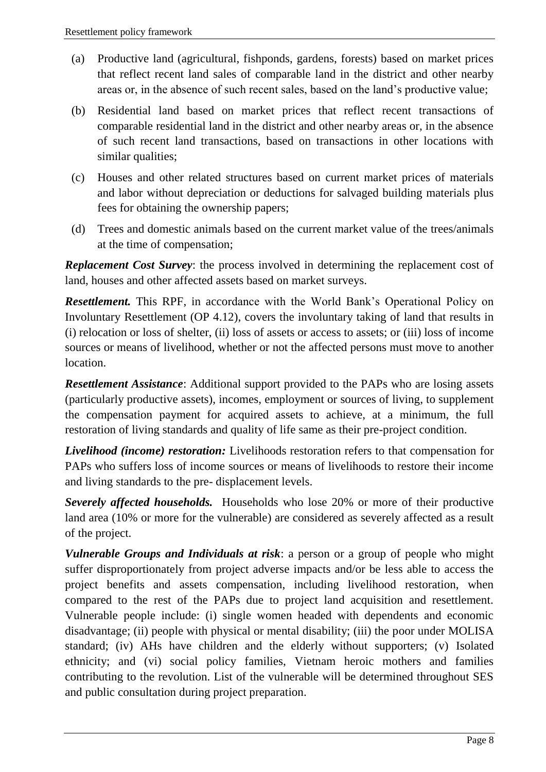- (a) Productive land (agricultural, fishponds, gardens, forests) based on market prices that reflect recent land sales of comparable land in the district and other nearby areas or, in the absence of such recent sales, based on the land's productive value;
- (b) Residential land based on market prices that reflect recent transactions of comparable residential land in the district and other nearby areas or, in the absence of such recent land transactions, based on transactions in other locations with similar qualities;
- (c) Houses and other related structures based on current market prices of materials and labor without depreciation or deductions for salvaged building materials plus fees for obtaining the ownership papers;
- (d) Trees and domestic animals based on the current market value of the trees/animals at the time of compensation;

*Replacement Cost Survey:* the process involved in determining the replacement cost of land, houses and other affected assets based on market surveys.

*Resettlement.* This RPF, in accordance with the World Bank's Operational Policy on Involuntary Resettlement (OP 4.12), covers the involuntary taking of land that results in (i) relocation or loss of shelter, (ii) loss of assets or access to assets; or (iii) loss of income sources or means of livelihood, whether or not the affected persons must move to another location.

*Resettlement Assistance*: Additional support provided to the PAPs who are losing assets (particularly productive assets), incomes, employment or sources of living, to supplement the compensation payment for acquired assets to achieve, at a minimum, the full restoration of living standards and quality of life same as their pre-project condition.

*Livelihood (income) restoration:* Livelihoods restoration refers to that compensation for PAPs who suffers loss of income sources or means of livelihoods to restore their income and living standards to the pre- displacement levels.

*Severely affected households.* Households who lose 20% or more of their productive land area (10% or more for the vulnerable) are considered as severely affected as a result of the project.

*Vulnerable Groups and Individuals at risk*: a person or a group of people who might suffer disproportionately from project adverse impacts and/or be less able to access the project benefits and assets compensation, including livelihood restoration, when compared to the rest of the PAPs due to project land acquisition and resettlement. Vulnerable people include: (i) single women headed with dependents and economic disadvantage; (ii) people with physical or mental disability; (iii) the poor under MOLISA standard; (iv) AHs have children and the elderly without supporters; (v) Isolated ethnicity; and (vi) social policy families, Vietnam heroic mothers and families contributing to the revolution. List of the vulnerable will be determined throughout SES and public consultation during project preparation.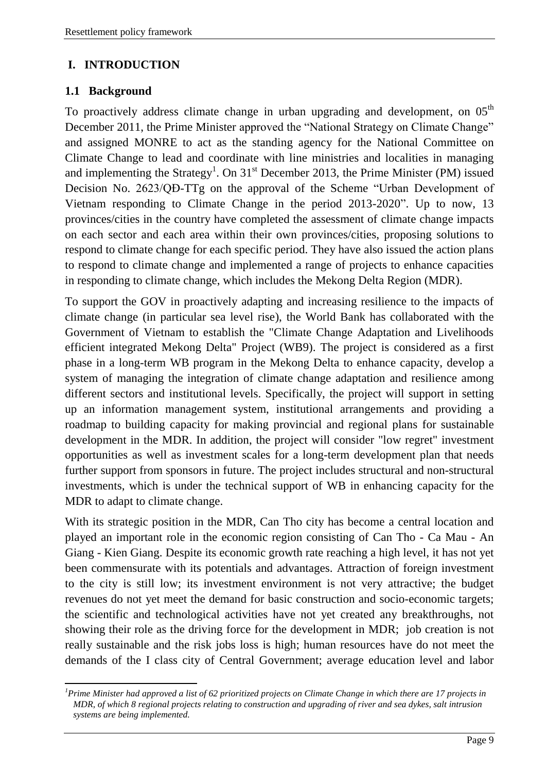#### <span id="page-8-0"></span>**I. INTRODUCTION**

#### <span id="page-8-1"></span>**1.1 Background**

 $\overline{a}$ 

To proactively address climate change in urban upgrading and development, on  $05<sup>th</sup>$ December 2011, the Prime Minister approved the "National Strategy on Climate Change" and assigned MONRE to act as the standing agency for the National Committee on Climate Change to lead and coordinate with line ministries and localities in managing and implementing the Strategy<sup>1</sup>. On  $31<sup>st</sup>$  December 2013, the Prime Minister (PM) issued Decision No. 2623/QĐ-TTg on the approval of the Scheme "Urban Development of Vietnam responding to Climate Change in the period 2013-2020". Up to now, 13 provinces/cities in the country have completed the assessment of climate change impacts on each sector and each area within their own provinces/cities, proposing solutions to respond to climate change for each specific period. They have also issued the action plans to respond to climate change and implemented a range of projects to enhance capacities in responding to climate change, which includes the Mekong Delta Region (MDR).

To support the GOV in proactively adapting and increasing resilience to the impacts of climate change (in particular sea level rise), the World Bank has collaborated with the Government of Vietnam to establish the "Climate Change Adaptation and Livelihoods efficient integrated Mekong Delta" Project (WB9). The project is considered as a first phase in a long-term WB program in the Mekong Delta to enhance capacity, develop a system of managing the integration of climate change adaptation and resilience among different sectors and institutional levels. Specifically, the project will support in setting up an information management system, institutional arrangements and providing a roadmap to building capacity for making provincial and regional plans for sustainable development in the MDR. In addition, the project will consider "low regret" investment opportunities as well as investment scales for a long-term development plan that needs further support from sponsors in future. The project includes structural and non-structural investments, which is under the technical support of WB in enhancing capacity for the MDR to adapt to climate change.

With its strategic position in the MDR, Can Tho city has become a central location and played an important role in the economic region consisting of Can Tho - Ca Mau - An Giang - Kien Giang. Despite its economic growth rate reaching a high level, it has not yet been commensurate with its potentials and advantages. Attraction of foreign investment to the city is still low; its investment environment is not very attractive; the budget revenues do not yet meet the demand for basic construction and socio-economic targets; the scientific and technological activities have not yet created any breakthroughs, not showing their role as the driving force for the development in MDR; job creation is not really sustainable and the risk jobs loss is high; human resources have do not meet the demands of the I class city of Central Government; average education level and labor

*<sup>1</sup>Prime Minister had approved a list of 62 prioritized projects on Climate Change in which there are 17 projects in MDR, of which 8 regional projects relating to construction and upgrading of river and sea dykes, salt intrusion systems are being implemented.*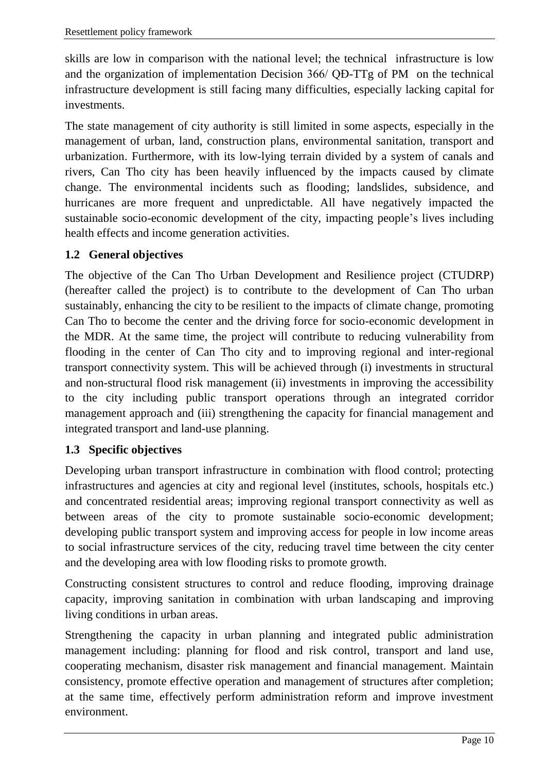skills are low in comparison with the national level; the technical infrastructure is low and the organization of implementation Decision 366/ QĐ-TTg of PM on the technical infrastructure development is still facing many difficulties, especially lacking capital for investments.

The state management of city authority is still limited in some aspects, especially in the management of urban, land, construction plans, environmental sanitation, transport and urbanization. Furthermore, with its low-lying terrain divided by a system of canals and rivers, Can Tho city has been heavily influenced by the impacts caused by climate change. The environmental incidents such as flooding; landslides, subsidence, and hurricanes are more frequent and unpredictable. All have negatively impacted the sustainable socio-economic development of the city, impacting people's lives including health effects and income generation activities.

#### <span id="page-9-0"></span>**1.2 General objectives**

The objective of the Can Tho Urban Development and Resilience project (CTUDRP) (hereafter called the project) is to contribute to the development of Can Tho urban sustainably, enhancing the city to be resilient to the impacts of climate change, promoting Can Tho to become the center and the driving force for socio-economic development in the MDR. At the same time, the project will contribute to reducing vulnerability from flooding in the center of Can Tho city and to improving regional and inter-regional transport connectivity system. This will be achieved through (i) investments in structural and non-structural flood risk management (ii) investments in improving the accessibility to the city including public transport operations through an integrated corridor management approach and (iii) strengthening the capacity for financial management and integrated transport and land-use planning.

#### <span id="page-9-1"></span>**1.3 Specific objectives**

Developing urban transport infrastructure in combination with flood control; protecting infrastructures and agencies at city and regional level (institutes, schools, hospitals etc.) and concentrated residential areas; improving regional transport connectivity as well as between areas of the city to promote sustainable socio-economic development; developing public transport system and improving access for people in low income areas to social infrastructure services of the city, reducing travel time between the city center and the developing area with low flooding risks to promote growth.

Constructing consistent structures to control and reduce flooding, improving drainage capacity, improving sanitation in combination with urban landscaping and improving living conditions in urban areas.

Strengthening the capacity in urban planning and integrated public administration management including: planning for flood and risk control, transport and land use, cooperating mechanism, disaster risk management and financial management. Maintain consistency, promote effective operation and management of structures after completion; at the same time, effectively perform administration reform and improve investment environment.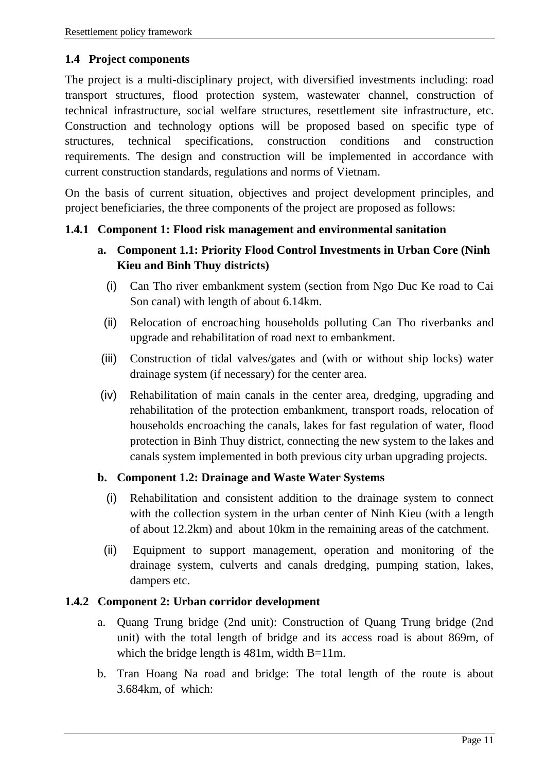#### <span id="page-10-0"></span>**1.4 Project components**

The project is a multi-disciplinary project, with diversified investments including: road transport structures, flood protection system, wastewater channel, construction of technical infrastructure, social welfare structures, resettlement site infrastructure, etc. Construction and technology options will be proposed based on specific type of structures, technical specifications, construction conditions and construction requirements. The design and construction will be implemented in accordance with current construction standards, regulations and norms of Vietnam.

On the basis of current situation, objectives and project development principles, and project beneficiaries, the three components of the project are proposed as follows:

#### <span id="page-10-1"></span>**1.4.1 Component 1: Flood risk management and environmental sanitation**

#### **a. Component 1.1: Priority Flood Control Investments in Urban Core (Ninh Kieu and Binh Thuy districts)**

- (i) Can Tho river embankment system (section from Ngo Duc Ke road to Cai Son canal) with length of about 6.14km.
- (ii) Relocation of encroaching households polluting Can Tho riverbanks and upgrade and rehabilitation of road next to embankment.
- (iii) Construction of tidal valves/gates and (with or without ship locks) water drainage system (if necessary) for the center area.
- (iv) Rehabilitation of main canals in the center area, dredging, upgrading and rehabilitation of the protection embankment, transport roads, relocation of households encroaching the canals, lakes for fast regulation of water, flood protection in Binh Thuy district, connecting the new system to the lakes and canals system implemented in both previous city urban upgrading projects.

#### **b. Component 1.2: Drainage and Waste Water Systems**

- (i) Rehabilitation and consistent addition to the drainage system to connect with the collection system in the urban center of Ninh Kieu (with a length of about 12.2km) and about 10km in the remaining areas of the catchment.
- (ii) Equipment to support management, operation and monitoring of the drainage system, culverts and canals dredging, pumping station, lakes, dampers etc.

#### <span id="page-10-2"></span>**1.4.2 Component 2: Urban corridor development**

- a. Quang Trung bridge (2nd unit): Construction of Quang Trung bridge (2nd unit) with the total length of bridge and its access road is about 869m, of which the bridge length is 481m, width B=11m.
- b. Tran Hoang Na road and bridge: The total length of the route is about 3.684km, of which: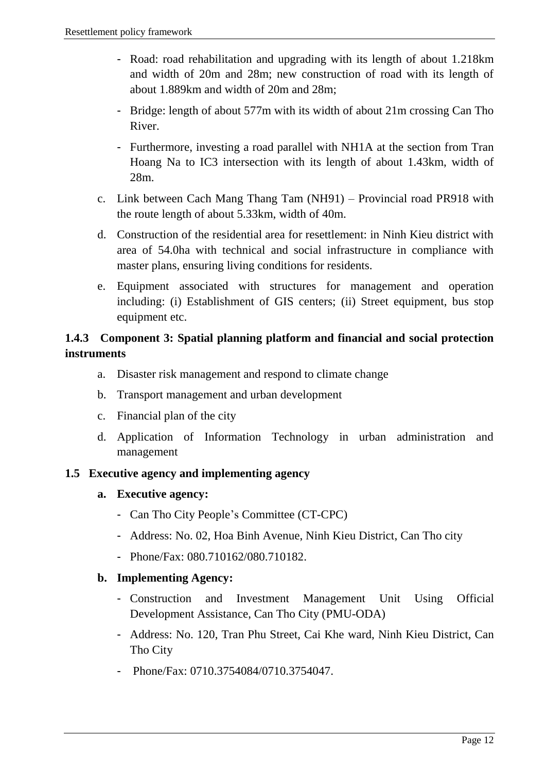- Road: road rehabilitation and upgrading with its length of about 1.218km and width of 20m and 28m; new construction of road with its length of about 1.889km and width of 20m and 28m;
- Bridge: length of about 577m with its width of about 21m crossing Can Tho River.
- Furthermore, investing a road parallel with NH1A at the section from Tran Hoang Na to IC3 intersection with its length of about 1.43km, width of 28m.
- c. Link between Cach Mang Thang Tam (NH91) Provincial road PR918 with the route length of about 5.33km, width of 40m.
- d. Construction of the residential area for resettlement: in Ninh Kieu district with area of 54.0ha with technical and social infrastructure in compliance with master plans, ensuring living conditions for residents.
- e. Equipment associated with structures for management and operation including: (i) Establishment of GIS centers; (ii) Street equipment, bus stop equipment etc.

#### <span id="page-11-0"></span>**1.4.3 Component 3: Spatial planning platform and financial and social protection instruments**

- a. Disaster risk management and respond to climate change
- b. Transport management and urban development
- c. Financial plan of the city
- d. Application of Information Technology in urban administration and management

#### <span id="page-11-1"></span>**1.5 Executive agency and implementing agency**

- **a. Executive agency:** 
	- Can Tho City People's Committee (CT-CPC)
	- Address: No. 02, Hoa Binh Avenue, Ninh Kieu District, Can Tho city
	- Phone/Fax: 080.710162/080.710182.

#### **b. Implementing Agency:**

- Construction and Investment Management Unit Using Official Development Assistance, Can Tho City (PMU-ODA)
- Address: No. 120, Tran Phu Street, Cai Khe ward, Ninh Kieu District, Can Tho City
- Phone/Fax: 0710.3754084/0710.3754047.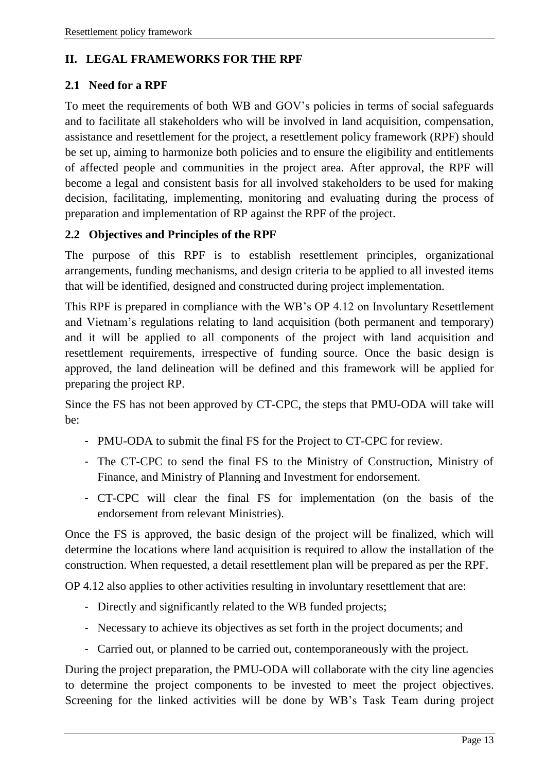#### <span id="page-12-0"></span>**II. LEGAL FRAMEWORKS FOR THE RPF**

#### <span id="page-12-1"></span>**2.1 Need for a RPF**

To meet the requirements of both WB and GOV's policies in terms of social safeguards and to facilitate all stakeholders who will be involved in land acquisition, compensation, assistance and resettlement for the project, a resettlement policy framework (RPF) should be set up, aiming to harmonize both policies and to ensure the eligibility and entitlements of affected people and communities in the project area. After approval, the RPF will become a legal and consistent basis for all involved stakeholders to be used for making decision, facilitating, implementing, monitoring and evaluating during the process of preparation and implementation of RP against the RPF of the project.

#### <span id="page-12-2"></span>**2.2 Objectives and Principles of the RPF**

The purpose of this RPF is to establish resettlement principles, organizational arrangements, funding mechanisms, and design criteria to be applied to all invested items that will be identified, designed and constructed during project implementation.

This RPF is prepared in compliance with the WB's OP 4.12 on Involuntary Resettlement and Vietnam's regulations relating to land acquisition (both permanent and temporary) and it will be applied to all components of the project with land acquisition and resettlement requirements, irrespective of funding source. Once the basic design is approved, the land delineation will be defined and this framework will be applied for preparing the project RP.

Since the FS has not been approved by CT-CPC, the steps that PMU-ODA will take will be:

- PMU-ODA to submit the final FS for the Project to CT-CPC for review.
- The CT-CPC to send the final FS to the Ministry of Construction, Ministry of Finance, and Ministry of Planning and Investment for endorsement.
- CT-CPC will clear the final FS for implementation (on the basis of the endorsement from relevant Ministries).

Once the FS is approved, the basic design of the project will be finalized, which will determine the locations where land acquisition is required to allow the installation of the construction. When requested, a detail resettlement plan will be prepared as per the RPF.

OP 4.12 also applies to other activities resulting in involuntary resettlement that are:

- Directly and significantly related to the WB funded projects;
- Necessary to achieve its objectives as set forth in the project documents; and
- Carried out, or planned to be carried out, contemporaneously with the project.

During the project preparation, the PMU-ODA will collaborate with the city line agencies to determine the project components to be invested to meet the project objectives. Screening for the linked activities will be done by WB's Task Team during project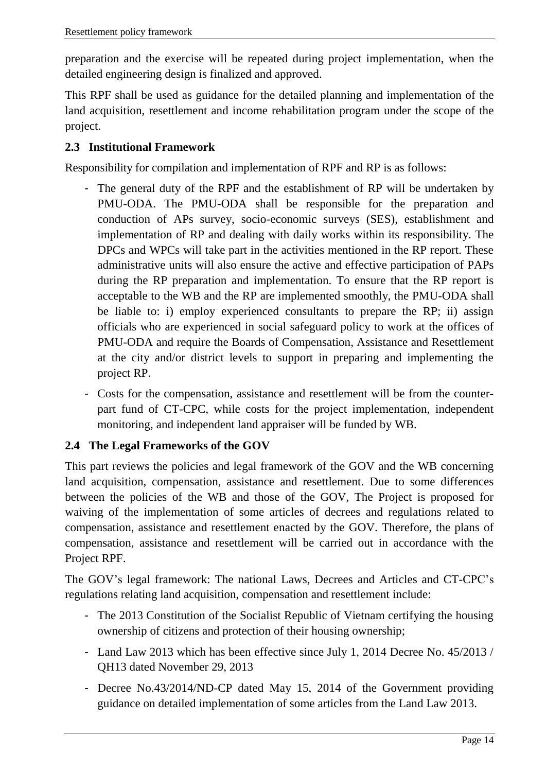preparation and the exercise will be repeated during project implementation, when the detailed engineering design is finalized and approved.

This RPF shall be used as guidance for the detailed planning and implementation of the land acquisition, resettlement and income rehabilitation program under the scope of the project.

#### <span id="page-13-0"></span>**2.3 Institutional Framework**

Responsibility for compilation and implementation of RPF and RP is as follows:

- The general duty of the RPF and the establishment of RP will be undertaken by PMU-ODA. The PMU-ODA shall be responsible for the preparation and conduction of APs survey, socio-economic surveys (SES), establishment and implementation of RP and dealing with daily works within its responsibility. The DPCs and WPCs will take part in the activities mentioned in the RP report. These administrative units will also ensure the active and effective participation of PAPs during the RP preparation and implementation. To ensure that the RP report is acceptable to the WB and the RP are implemented smoothly, the PMU-ODA shall be liable to: i) employ experienced consultants to prepare the RP; ii) assign officials who are experienced in social safeguard policy to work at the offices of PMU-ODA and require the Boards of Compensation, Assistance and Resettlement at the city and/or district levels to support in preparing and implementing the project RP.
- Costs for the compensation, assistance and resettlement will be from the counterpart fund of CT-CPC, while costs for the project implementation, independent monitoring, and independent land appraiser will be funded by WB.

#### <span id="page-13-1"></span>**2.4 The Legal Frameworks of the GOV**

This part reviews the policies and legal framework of the GOV and the WB concerning land acquisition, compensation, assistance and resettlement. Due to some differences between the policies of the WB and those of the GOV, The Project is proposed for waiving of the implementation of some articles of decrees and regulations related to compensation, assistance and resettlement enacted by the GOV. Therefore, the plans of compensation, assistance and resettlement will be carried out in accordance with the Project RPF.

The GOV's legal framework: The national Laws, Decrees and Articles and CT-CPC's regulations relating land acquisition, compensation and resettlement include:

- The 2013 Constitution of the Socialist Republic of Vietnam certifying the housing ownership of citizens and protection of their housing ownership;
- Land Law 2013 which has been effective since July 1, 2014 Decree No. 45/2013 / QH13 dated November 29, 2013
- Decree No.43/2014/ND-CP dated May 15, 2014 of the Government providing guidance on detailed implementation of some articles from the Land Law 2013.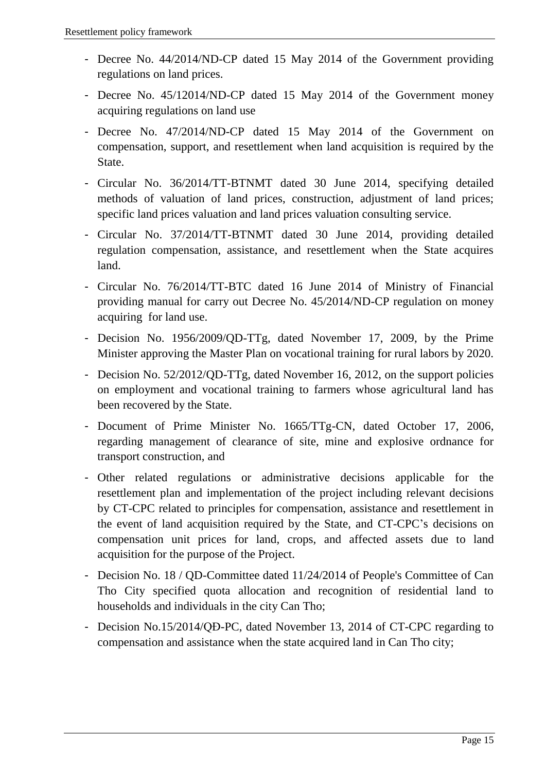- Decree No. 44/2014/ND-CP dated 15 May 2014 of the Government providing regulations on land prices.
- Decree No. 45/12014/ND-CP dated 15 May 2014 of the Government money acquiring regulations on land use
- Decree No. 47/2014/ND-CP dated 15 May 2014 of the Government on compensation, support, and resettlement when land acquisition is required by the State.
- Circular No. 36/2014/TT-BTNMT dated 30 June 2014, specifying detailed methods of valuation of land prices, construction, adjustment of land prices; specific land prices valuation and land prices valuation consulting service.
- Circular No. 37/2014/TT-BTNMT dated 30 June 2014, providing detailed regulation compensation, assistance, and resettlement when the State acquires land.
- Circular No. 76/2014/TT-BTC dated 16 June 2014 of Ministry of Financial providing manual for carry out Decree No. 45/2014/ND-CP regulation on money acquiring for land use.
- Decision No. 1956/2009/QD-TTg, dated November 17, 2009, by the Prime Minister approving the Master Plan on vocational training for rural labors by 2020.
- Decision No. 52/2012/QD-TTg, dated November 16, 2012, on the support policies on employment and vocational training to farmers whose agricultural land has been recovered by the State.
- Document of Prime Minister No. 1665/TTg-CN, dated October 17, 2006, regarding management of clearance of site, mine and explosive ordnance for transport construction, and
- Other related regulations or administrative decisions applicable for the resettlement plan and implementation of the project including relevant decisions by CT-CPC related to principles for compensation, assistance and resettlement in the event of land acquisition required by the State, and CT-CPC's decisions on compensation unit prices for land, crops, and affected assets due to land acquisition for the purpose of the Project.
- Decision No. 18 / QD-Committee dated 11/24/2014 of People's Committee of Can Tho City specified quota allocation and recognition of residential land to households and individuals in the city Can Tho;
- Decision No.15/2014/QĐ-PC, dated November 13, 2014 of CT-CPC regarding to compensation and assistance when the state acquired land in Can Tho city;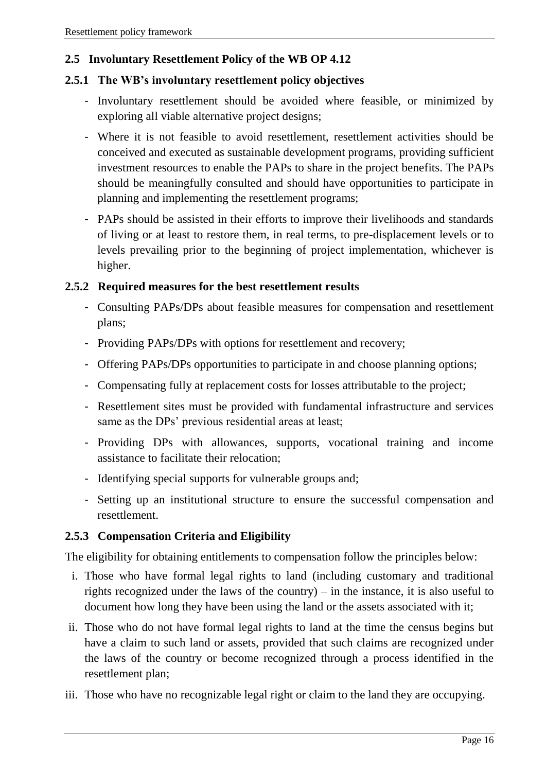#### <span id="page-15-0"></span>**2.5 Involuntary Resettlement Policy of the WB OP 4.12**

#### <span id="page-15-1"></span>**2.5.1 The WB's involuntary resettlement policy objectives**

- Involuntary resettlement should be avoided where feasible, or minimized by exploring all viable alternative project designs;
- Where it is not feasible to avoid resettlement, resettlement activities should be conceived and executed as sustainable development programs, providing sufficient investment resources to enable the PAPs to share in the project benefits. The PAPs should be meaningfully consulted and should have opportunities to participate in planning and implementing the resettlement programs;
- PAPs should be assisted in their efforts to improve their livelihoods and standards of living or at least to restore them, in real terms, to pre-displacement levels or to levels prevailing prior to the beginning of project implementation, whichever is higher.

#### <span id="page-15-2"></span>**2.5.2 Required measures for the best resettlement results**

- Consulting PAPs/DPs about feasible measures for compensation and resettlement plans;
- Providing PAPs/DPs with options for resettlement and recovery;
- Offering PAPs/DPs opportunities to participate in and choose planning options;
- Compensating fully at replacement costs for losses attributable to the project;
- Resettlement sites must be provided with fundamental infrastructure and services same as the DPs' previous residential areas at least;
- Providing DPs with allowances, supports, vocational training and income assistance to facilitate their relocation;
- Identifying special supports for vulnerable groups and;
- Setting up an institutional structure to ensure the successful compensation and resettlement.

#### <span id="page-15-3"></span>**2.5.3 Compensation Criteria and Eligibility**

The eligibility for obtaining entitlements to compensation follow the principles below:

- i. Those who have formal legal rights to land (including customary and traditional rights recognized under the laws of the country) – in the instance, it is also useful to document how long they have been using the land or the assets associated with it;
- ii. Those who do not have formal legal rights to land at the time the census begins but have a claim to such land or assets, provided that such claims are recognized under the laws of the country or become recognized through a process identified in the resettlement plan;
- iii. Those who have no recognizable legal right or claim to the land they are occupying.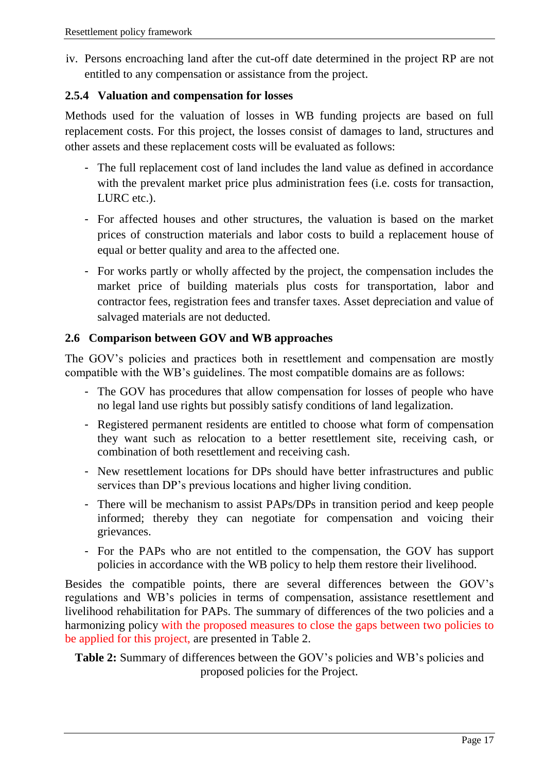iv. Persons encroaching land after the cut-off date determined in the project RP are not entitled to any compensation or assistance from the project.

#### <span id="page-16-0"></span>**2.5.4 Valuation and compensation for losses**

Methods used for the valuation of losses in WB funding projects are based on full replacement costs. For this project, the losses consist of damages to land, structures and other assets and these replacement costs will be evaluated as follows:

- The full replacement cost of land includes the land value as defined in accordance with the prevalent market price plus administration fees (i.e. costs for transaction, LURC etc.).
- For affected houses and other structures, the valuation is based on the market prices of construction materials and labor costs to build a replacement house of equal or better quality and area to the affected one.
- For works partly or wholly affected by the project, the compensation includes the market price of building materials plus costs for transportation, labor and contractor fees, registration fees and transfer taxes. Asset depreciation and value of salvaged materials are not deducted.

#### <span id="page-16-1"></span>**2.6 Comparison between GOV and WB approaches**

The GOV's policies and practices both in resettlement and compensation are mostly compatible with the WB's guidelines. The most compatible domains are as follows:

- The GOV has procedures that allow compensation for losses of people who have no legal land use rights but possibly satisfy conditions of land legalization.
- Registered permanent residents are entitled to choose what form of compensation they want such as relocation to a better resettlement site, receiving cash, or combination of both resettlement and receiving cash.
- New resettlement locations for DPs should have better infrastructures and public services than DP's previous locations and higher living condition.
- There will be mechanism to assist PAPs/DPs in transition period and keep people informed; thereby they can negotiate for compensation and voicing their grievances.
- For the PAPs who are not entitled to the compensation, the GOV has support policies in accordance with the WB policy to help them restore their livelihood.

Besides the compatible points, there are several differences between the GOV's regulations and WB's policies in terms of compensation, assistance resettlement and livelihood rehabilitation for PAPs. The summary of differences of the two policies and a harmonizing policy with the proposed measures to close the gaps between two policies to be applied for this project, are presented in Table 2.

**Table 2:** Summary of differences between the GOV's policies and WB's policies and proposed policies for the Project.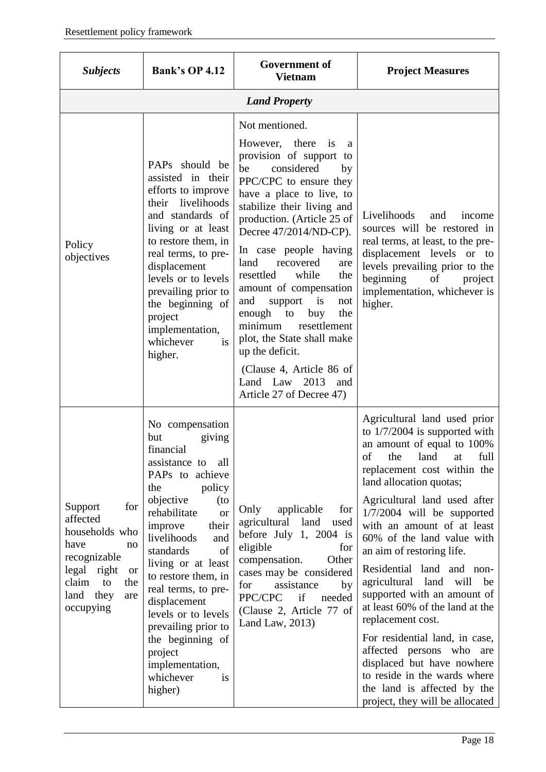| <b>Subjects</b>                                                                                                                                               | <b>Bank's OP 4.12</b>                                                                                                                                                                                                                                                                                                                                                                                                                            | <b>Government of</b><br><b>Vietnam</b>                                                                                                                                                                                                                                                                                                                                                                                                                                                                                                                                            | <b>Project Measures</b>                                                                                                                                                                                                                                                                                                                                                                                                                                                                                                                                                                                                                                                                         |
|---------------------------------------------------------------------------------------------------------------------------------------------------------------|--------------------------------------------------------------------------------------------------------------------------------------------------------------------------------------------------------------------------------------------------------------------------------------------------------------------------------------------------------------------------------------------------------------------------------------------------|-----------------------------------------------------------------------------------------------------------------------------------------------------------------------------------------------------------------------------------------------------------------------------------------------------------------------------------------------------------------------------------------------------------------------------------------------------------------------------------------------------------------------------------------------------------------------------------|-------------------------------------------------------------------------------------------------------------------------------------------------------------------------------------------------------------------------------------------------------------------------------------------------------------------------------------------------------------------------------------------------------------------------------------------------------------------------------------------------------------------------------------------------------------------------------------------------------------------------------------------------------------------------------------------------|
|                                                                                                                                                               |                                                                                                                                                                                                                                                                                                                                                                                                                                                  | <b>Land Property</b>                                                                                                                                                                                                                                                                                                                                                                                                                                                                                                                                                              |                                                                                                                                                                                                                                                                                                                                                                                                                                                                                                                                                                                                                                                                                                 |
| Policy<br>objectives                                                                                                                                          | PAPs should be<br>assisted in their<br>efforts to improve<br>their livelihoods<br>and standards of<br>living or at least<br>to restore them, in<br>real terms, to pre-<br>displacement<br>levels or to levels<br>prevailing prior to<br>the beginning of<br>project<br>implementation,<br>whichever<br><i>is</i><br>higher.                                                                                                                      | Not mentioned.<br>However, there<br>is<br>a<br>provision of support to<br>be<br>considered<br>by<br>PPC/CPC to ensure they<br>have a place to live, to<br>stabilize their living and<br>production. (Article 25 of<br>Decree 47/2014/ND-CP).<br>In case people having<br>land<br>recovered<br>are<br>resettled<br>while<br>the<br>amount of compensation<br>support<br>is<br>and<br>not<br>the<br>enough<br>to<br>buy<br>minimum<br>resettlement<br>plot, the State shall make<br>up the deficit.<br>(Clause 4, Article 86 of<br>Land Law 2013<br>and<br>Article 27 of Decree 47) | Livelihoods<br>and<br>income<br>sources will be restored in<br>real terms, at least, to the pre-<br>displacement levels or to<br>levels prevailing prior to the<br>beginning<br>of<br>project<br>implementation, whichever is<br>higher.                                                                                                                                                                                                                                                                                                                                                                                                                                                        |
| for<br>Support<br>affected<br>households who<br>have<br>no<br>recognizable<br>legal right<br><b>or</b><br>claim<br>to<br>the<br>land they<br>are<br>occupying | No compensation<br>giving<br>but<br>financial<br>assistance to<br>all<br>PAPs to achieve<br>policy<br>the<br>objective<br>(to<br>rehabilitate<br><b>or</b><br>improve<br>their<br>livelihoods<br>and<br>standards<br>of<br>living or at least<br>to restore them, in<br>real terms, to pre-<br>displacement<br>levels or to levels<br>prevailing prior to<br>the beginning of<br>project<br>implementation,<br>whichever<br><i>is</i><br>higher) | applicable<br>for<br>Only<br>agricultural land<br>used<br>before July 1, 2004 is<br>eligible<br>for<br>compensation.<br>Other<br>cases may be considered<br>assistance<br>for<br>by<br>PPC/CPC<br>if<br>needed<br>(Clause 2, Article 77 of<br>Land Law, $2013$ )                                                                                                                                                                                                                                                                                                                  | Agricultural land used prior<br>to $1/7/2004$ is supported with<br>an amount of equal to 100%<br>of the land at full<br>replacement cost within the<br>land allocation quotas;<br>Agricultural land used after<br>$1/7/2004$ will be supported<br>with an amount of at least<br>60% of the land value with<br>an aim of restoring life.<br>Residential land and non-<br>agricultural<br>land<br>will<br>be<br>supported with an amount of<br>at least 60% of the land at the<br>replacement cost.<br>For residential land, in case,<br>affected persons who are<br>displaced but have nowhere<br>to reside in the wards where<br>the land is affected by the<br>project, they will be allocated |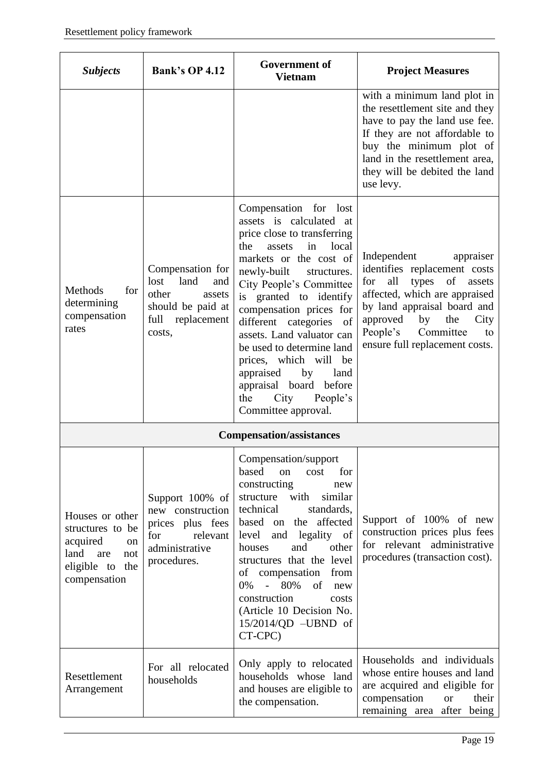| <b>Subjects</b>                                                                                                           | <b>Bank's OP 4.12</b>                                                                                            | <b>Government of</b><br><b>Vietnam</b>                                                                                                                                                                                                                                                                                                                                                                                                                                       | <b>Project Measures</b>                                                                                                                                                                                                                                           |
|---------------------------------------------------------------------------------------------------------------------------|------------------------------------------------------------------------------------------------------------------|------------------------------------------------------------------------------------------------------------------------------------------------------------------------------------------------------------------------------------------------------------------------------------------------------------------------------------------------------------------------------------------------------------------------------------------------------------------------------|-------------------------------------------------------------------------------------------------------------------------------------------------------------------------------------------------------------------------------------------------------------------|
|                                                                                                                           |                                                                                                                  |                                                                                                                                                                                                                                                                                                                                                                                                                                                                              | with a minimum land plot in<br>the resettlement site and they<br>have to pay the land use fee.<br>If they are not affordable to<br>buy the minimum plot of<br>land in the resettlement area,<br>they will be debited the land<br>use levy.                        |
| Methods<br>for<br>determining<br>compensation<br>rates                                                                    | Compensation for<br>land<br>lost<br>and<br>other<br>assets<br>should be paid at<br>full<br>replacement<br>costs, | Compensation for lost<br>assets is calculated at<br>price close to transferring<br>in<br>local<br>the<br>assets<br>markets or the cost of<br>newly-built<br>structures.<br>City People's Committee<br>is granted to identify<br>compensation prices for<br>different categories of<br>assets. Land valuator can<br>be used to determine land<br>prices, which will be<br>appraised<br>by<br>land<br>appraisal board before<br>City<br>People's<br>the<br>Committee approval. | Independent<br>appraiser<br>identifies replacement costs<br>all<br>types<br>of<br>assets<br>for<br>affected, which are appraised<br>by land appraisal board and<br>approved<br>by<br>the<br>City<br>People's<br>Committee<br>to<br>ensure full replacement costs. |
|                                                                                                                           |                                                                                                                  | <b>Compensation/assistances</b>                                                                                                                                                                                                                                                                                                                                                                                                                                              |                                                                                                                                                                                                                                                                   |
| Houses or other<br>structures to be<br>acquired<br><sub>on</sub><br>land<br>are<br>not<br>eligible to the<br>compensation | Support 100% of<br>new construction<br>prices plus fees<br>for<br>relevant<br>administrative<br>procedures.      | Compensation/support<br>based<br>for<br>on<br>cost<br>constructing<br>new<br>with<br>similar<br>structure<br>technical<br>standards,<br>the affected<br>based on<br>level<br>legality of<br>and<br>and<br>other<br>houses<br>structures that the level<br>compensation<br>of<br>from<br>80%<br>of<br>0%<br>$\omega_{\rm{max}}$<br>new<br>construction<br>costs<br>(Article 10 Decision No.<br>15/2014/QD -UBND of<br>CT-CPC)                                                 | Support of 100% of new<br>construction prices plus fees<br>for relevant administrative<br>procedures (transaction cost).                                                                                                                                          |
| Resettlement<br>Arrangement                                                                                               | For all relocated<br>households                                                                                  | Only apply to relocated<br>households whose land<br>and houses are eligible to<br>the compensation.                                                                                                                                                                                                                                                                                                                                                                          | Households and individuals<br>whose entire houses and land<br>are acquired and eligible for<br>compensation<br><b>or</b><br>their<br>remaining area after being                                                                                                   |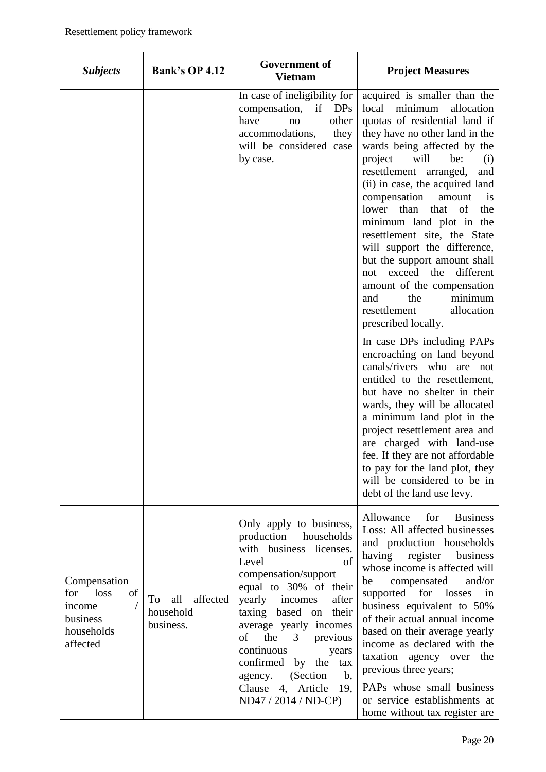| <b>Subjects</b>                                                                   | <b>Bank's OP 4.12</b>                           | <b>Government of</b><br><b>Vietnam</b>                                                                                                                                                                                                                                                                                                                                                                                    | <b>Project Measures</b>                                                                                                                                                                                                                                                                                                                                                                                                                                                                                                                                                                                                                                                                                                                                                                                                                                                                                                                                                                                                                                |
|-----------------------------------------------------------------------------------|-------------------------------------------------|---------------------------------------------------------------------------------------------------------------------------------------------------------------------------------------------------------------------------------------------------------------------------------------------------------------------------------------------------------------------------------------------------------------------------|--------------------------------------------------------------------------------------------------------------------------------------------------------------------------------------------------------------------------------------------------------------------------------------------------------------------------------------------------------------------------------------------------------------------------------------------------------------------------------------------------------------------------------------------------------------------------------------------------------------------------------------------------------------------------------------------------------------------------------------------------------------------------------------------------------------------------------------------------------------------------------------------------------------------------------------------------------------------------------------------------------------------------------------------------------|
|                                                                                   |                                                 | In case of ineligibility for<br>compensation, if DPs<br>other<br>have<br>no<br>accommodations,<br>they<br>will be considered case<br>by case.                                                                                                                                                                                                                                                                             | acquired is smaller than the<br>local minimum<br>allocation<br>quotas of residential land if<br>they have no other land in the<br>wards being affected by the<br>will<br>project<br>be:<br>(i)<br>resettlement arranged,<br>and<br>(ii) in case, the acquired land<br>compensation<br>amount<br>$\frac{1}{1}$<br>lower<br>than<br>that<br>of<br>the<br>minimum land plot in the<br>resettlement site, the State<br>will support the difference,<br>but the support amount shall<br>different<br>exceed the<br>not<br>amount of the compensation<br>minimum<br>the<br>and<br>allocation<br>resettlement<br>prescribed locally.<br>In case DPs including PAPs<br>encroaching on land beyond<br>canals/rivers who are not<br>entitled to the resettlement,<br>but have no shelter in their<br>wards, they will be allocated<br>a minimum land plot in the<br>project resettlement area and<br>are charged with land-use<br>fee. If they are not affordable<br>to pay for the land plot, they<br>will be considered to be in<br>debt of the land use levy. |
| Compensation<br>loss<br>of<br>for<br>income<br>business<br>households<br>affected | affected<br>all<br>To<br>household<br>business. | Only apply to business,<br>production<br>households<br>with business licenses.<br>of<br>Level<br>compensation/support<br>equal to 30% of their<br>yearly<br>incomes<br>after<br>taxing based on<br>their<br>average yearly incomes<br>of<br>the<br>3 <sup>7</sup><br>previous<br>continuous<br>years<br>confirmed by the tax<br>(Section<br>$\mathbf{b}$ ,<br>agency.<br>Clause 4, Article<br>19,<br>ND47 / 2014 / ND-CP) | Allowance<br>for<br><b>Business</b><br>Loss: All affected businesses<br>and production households<br>having<br>register<br>business<br>whose income is affected will<br>compensated<br>be<br>and/or<br>supported for losses<br>in<br>business equivalent to 50%<br>of their actual annual income<br>based on their average yearly<br>income as declared with the<br>taxation agency over the<br>previous three years;<br>PAPs whose small business<br>or service establishments at<br>home without tax register are                                                                                                                                                                                                                                                                                                                                                                                                                                                                                                                                    |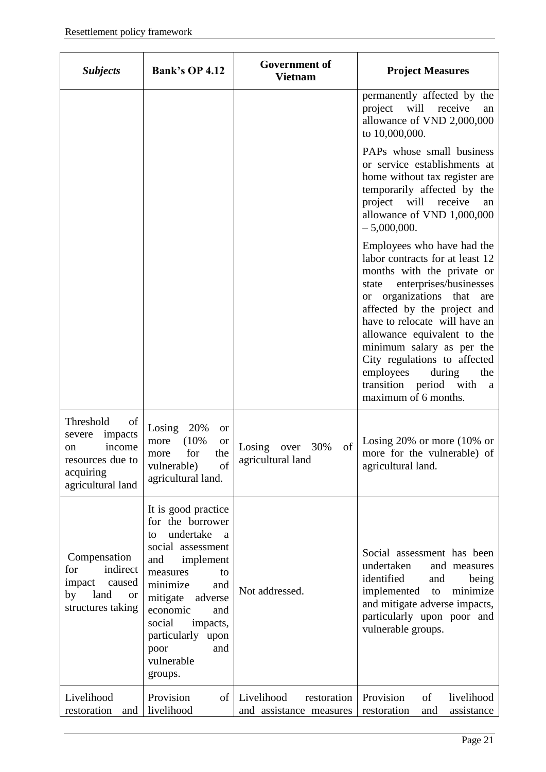| <b>Subjects</b>                                                                                            | <b>Bank's OP 4.12</b>                                                                                                                                                                                                                                                      | <b>Government of</b><br><b>Vietnam</b>               | <b>Project Measures</b>                                                                                                                                                                                                                                                                                                                                                                                            |
|------------------------------------------------------------------------------------------------------------|----------------------------------------------------------------------------------------------------------------------------------------------------------------------------------------------------------------------------------------------------------------------------|------------------------------------------------------|--------------------------------------------------------------------------------------------------------------------------------------------------------------------------------------------------------------------------------------------------------------------------------------------------------------------------------------------------------------------------------------------------------------------|
|                                                                                                            |                                                                                                                                                                                                                                                                            |                                                      | permanently affected by the<br>will<br>project<br>receive<br>an<br>allowance of VND 2,000,000<br>to 10,000,000.                                                                                                                                                                                                                                                                                                    |
|                                                                                                            |                                                                                                                                                                                                                                                                            |                                                      | PAPs whose small business<br>or service establishments at<br>home without tax register are<br>temporarily affected by the<br>will<br>receive<br>project<br>an<br>allowance of VND 1,000,000<br>$-5,000,000.$                                                                                                                                                                                                       |
|                                                                                                            |                                                                                                                                                                                                                                                                            |                                                      | Employees who have had the<br>labor contracts for at least 12<br>months with the private or<br>enterprises/businesses<br>state<br>or organizations<br>that<br>are<br>affected by the project and<br>have to relocate will have an<br>allowance equivalent to the<br>minimum salary as per the<br>City regulations to affected<br>employees<br>during<br>the<br>transition period with<br>a<br>maximum of 6 months. |
| Threshold<br>of<br>impacts<br>severe<br>income<br>on<br>resources due to<br>acquiring<br>agricultural land | 20%<br>Losing<br><sub>or</sub><br>(10%<br>more<br><b>or</b><br>the<br>for<br>more<br>vulnerable)<br>of<br>agricultural land.                                                                                                                                               | of<br>30%<br>Losing<br>over<br>agricultural land     | Losing 20% or more $(10\% \text{ or }$<br>more for the vulnerable) of<br>agricultural land.                                                                                                                                                                                                                                                                                                                        |
| Compensation<br>indirect<br>for<br>impact<br>caused<br>land<br>by<br><b>or</b><br>structures taking        | It is good practice<br>for the borrower<br>undertake<br>a<br>to<br>social assessment<br>implement<br>and<br>measures<br>to<br>minimize<br>and<br>mitigate<br>adverse<br>economic<br>and<br>social<br>impacts,<br>particularly upon<br>and<br>poor<br>vulnerable<br>groups. | Not addressed.                                       | Social assessment has been<br>undertaken<br>and measures<br>identified<br>being<br>and<br>implemented<br>to<br>minimize<br>and mitigate adverse impacts,<br>particularly upon poor and<br>vulnerable groups.                                                                                                                                                                                                       |
| Livelihood<br>restoration<br>and                                                                           | Provision<br>of<br>livelihood                                                                                                                                                                                                                                              | Livelihood<br>restoration<br>and assistance measures | Provision<br>of<br>livelihood<br>restoration<br>assistance<br>and                                                                                                                                                                                                                                                                                                                                                  |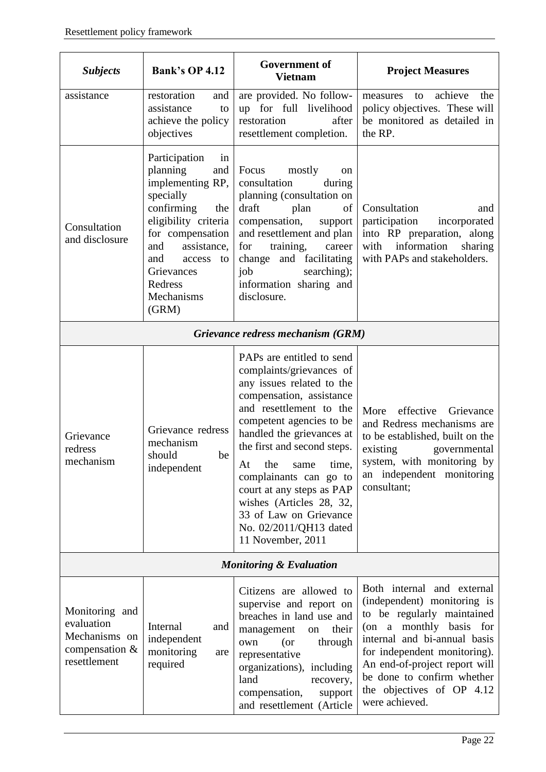| <b>Subjects</b>                                                                    | <b>Bank's OP 4.12</b>                                                                                                                                                                                                                 | <b>Government of</b><br><b>Vietnam</b>                                                                                                                                                                                                                                                                                                                                                                                      | <b>Project Measures</b>                                                                                                                                                                                                                                                                          |  |  |
|------------------------------------------------------------------------------------|---------------------------------------------------------------------------------------------------------------------------------------------------------------------------------------------------------------------------------------|-----------------------------------------------------------------------------------------------------------------------------------------------------------------------------------------------------------------------------------------------------------------------------------------------------------------------------------------------------------------------------------------------------------------------------|--------------------------------------------------------------------------------------------------------------------------------------------------------------------------------------------------------------------------------------------------------------------------------------------------|--|--|
| assistance                                                                         | restoration<br>and<br>assistance<br>to<br>achieve the policy<br>objectives                                                                                                                                                            | are provided. No follow-<br>up for full livelihood<br>restoration<br>after<br>resettlement completion.                                                                                                                                                                                                                                                                                                                      | achieve<br>the<br>measures<br>to<br>policy objectives. These will<br>be monitored as detailed in<br>the RP.                                                                                                                                                                                      |  |  |
| Consultation<br>and disclosure                                                     | Participation<br>in<br>planning<br>and<br>implementing RP,<br>specially<br>confirming<br>the<br>eligibility criteria<br>for compensation<br>assistance,<br>and<br>and<br>access<br>to<br>Grievances<br>Redress<br>Mechanisms<br>(GRM) | Focus<br>mostly<br>on<br>consultation<br>during<br>planning (consultation on<br>plan<br>draft<br>of<br>compensation,<br>support<br>and resettlement and plan<br>training,<br>for<br>career<br>change and facilitating<br>job<br>searching);<br>information sharing and<br>disclosure.                                                                                                                                       | Consultation<br>and<br>participation<br>incorporated<br>into RP preparation, along<br>with information<br>sharing<br>with PAPs and stakeholders.                                                                                                                                                 |  |  |
|                                                                                    |                                                                                                                                                                                                                                       | Grievance redress mechanism (GRM)                                                                                                                                                                                                                                                                                                                                                                                           |                                                                                                                                                                                                                                                                                                  |  |  |
| Grievance<br>redress<br>mechanism                                                  | Grievance redress<br>mechanism<br>should<br>be<br>independent                                                                                                                                                                         | PAPs are entitled to send<br>complaints/grievances of<br>any issues related to the<br>compensation, assistance<br>and resettlement to the<br>competent agencies to be<br>handled the grievances at<br>the first and second steps.<br>At<br>the<br>same<br>time,<br>complainants can go to<br>court at any steps as PAP<br>wishes (Articles 28, 32,<br>33 of Law on Grievance<br>No. 02/2011/QH13 dated<br>11 November, 2011 | effective<br>More<br>Grievance<br>and Redress mechanisms are<br>to be established, built on the<br>existing<br>governmental<br>system, with monitoring by<br>an independent monitoring<br>consultant;                                                                                            |  |  |
| <b>Monitoring &amp; Evaluation</b>                                                 |                                                                                                                                                                                                                                       |                                                                                                                                                                                                                                                                                                                                                                                                                             |                                                                                                                                                                                                                                                                                                  |  |  |
| Monitoring and<br>evaluation<br>Mechanisms on<br>compensation $\&$<br>resettlement | Internal<br>and<br>independent<br>monitoring<br>are<br>required                                                                                                                                                                       | Citizens are allowed to<br>supervise and report on<br>breaches in land use and<br>management<br>their<br>on<br>through<br>$($ or<br>own<br>representative<br>organizations), including<br>land<br>recovery,<br>compensation,<br>support<br>and resettlement (Article                                                                                                                                                        | Both internal and external<br>(independent) monitoring is<br>to be regularly maintained<br>(on a monthly basis for<br>internal and bi-annual basis<br>for independent monitoring).<br>An end-of-project report will<br>be done to confirm whether<br>the objectives of OP 4.12<br>were achieved. |  |  |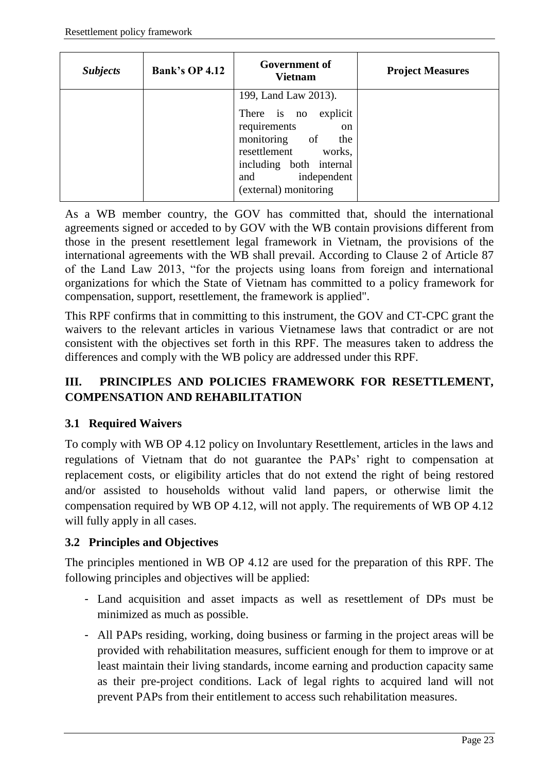| <b>Subjects</b> | <b>Bank's OP 4.12</b> | <b>Government of</b><br><b>Vietnam</b>                                                                                                                                                            | <b>Project Measures</b> |
|-----------------|-----------------------|---------------------------------------------------------------------------------------------------------------------------------------------------------------------------------------------------|-------------------------|
|                 |                       | 199, Land Law 2013).<br>There is no<br>explicit<br>requirements<br>on<br>monitoring of<br>the<br>resettlement<br>works,<br>including both internal<br>independent<br>and<br>(external) monitoring |                         |

As a WB member country, the GOV has committed that, should the international agreements signed or acceded to by GOV with the WB contain provisions different from those in the present resettlement legal framework in Vietnam, the provisions of the international agreements with the WB shall prevail. According to Clause 2 of Article 87 of the Land Law 2013, "for the projects using loans from foreign and international organizations for which the State of Vietnam has committed to a policy framework for compensation, support, resettlement, the framework is applied".

This RPF confirms that in committing to this instrument, the GOV and CT-CPC grant the waivers to the relevant articles in various Vietnamese laws that contradict or are not consistent with the objectives set forth in this RPF. The measures taken to address the differences and comply with the WB policy are addressed under this RPF.

#### <span id="page-22-0"></span>**III. PRINCIPLES AND POLICIES FRAMEWORK FOR RESETTLEMENT, COMPENSATION AND REHABILITATION**

#### <span id="page-22-1"></span>**3.1 Required Waivers**

To comply with WB OP 4.12 policy on Involuntary Resettlement, articles in the laws and regulations of Vietnam that do not guarantee the PAPs' right to compensation at replacement costs, or eligibility articles that do not extend the right of being restored and/or assisted to households without valid land papers, or otherwise limit the compensation required by WB OP 4.12, will not apply. The requirements of WB OP 4.12 will fully apply in all cases.

#### <span id="page-22-2"></span>**3.2 Principles and Objectives**

The principles mentioned in WB OP 4.12 are used for the preparation of this RPF. The following principles and objectives will be applied:

- Land acquisition and asset impacts as well as resettlement of DPs must be minimized as much as possible.
- All PAPs residing, working, doing business or farming in the project areas will be provided with rehabilitation measures, sufficient enough for them to improve or at least maintain their living standards, income earning and production capacity same as their pre-project conditions. Lack of legal rights to acquired land will not prevent PAPs from their entitlement to access such rehabilitation measures.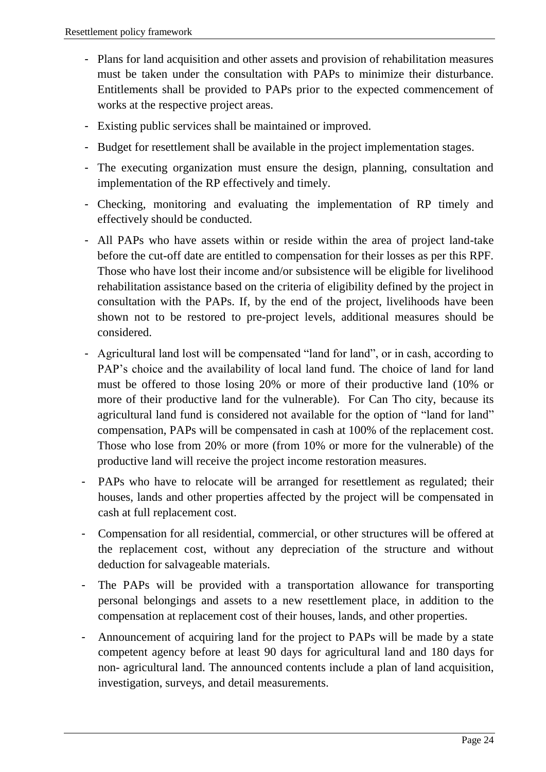- Plans for land acquisition and other assets and provision of rehabilitation measures must be taken under the consultation with PAPs to minimize their disturbance. Entitlements shall be provided to PAPs prior to the expected commencement of works at the respective project areas.
- Existing public services shall be maintained or improved.
- Budget for resettlement shall be available in the project implementation stages.
- The executing organization must ensure the design, planning, consultation and implementation of the RP effectively and timely.
- Checking, monitoring and evaluating the implementation of RP timely and effectively should be conducted.
- All PAPs who have assets within or reside within the area of project land-take before the cut-off date are entitled to compensation for their losses as per this RPF. Those who have lost their income and/or subsistence will be eligible for livelihood rehabilitation assistance based on the criteria of eligibility defined by the project in consultation with the PAPs. If, by the end of the project, livelihoods have been shown not to be restored to pre-project levels, additional measures should be considered.
- Agricultural land lost will be compensated "land for land", or in cash, according to PAP's choice and the availability of local land fund. The choice of land for land must be offered to those losing 20% or more of their productive land (10% or more of their productive land for the vulnerable). For Can Tho city, because its agricultural land fund is considered not available for the option of "land for land" compensation, PAPs will be compensated in cash at 100% of the replacement cost. Those who lose from 20% or more (from 10% or more for the vulnerable) of the productive land will receive the project income restoration measures.
- PAPs who have to relocate will be arranged for resettlement as regulated; their houses, lands and other properties affected by the project will be compensated in cash at full replacement cost.
- Compensation for all residential, commercial, or other structures will be offered at the replacement cost, without any depreciation of the structure and without deduction for salvageable materials.
- The PAPs will be provided with a transportation allowance for transporting personal belongings and assets to a new resettlement place, in addition to the compensation at replacement cost of their houses, lands, and other properties.
- Announcement of acquiring land for the project to PAPs will be made by a state competent agency before at least 90 days for agricultural land and 180 days for non- agricultural land. The announced contents include a plan of land acquisition, investigation, surveys, and detail measurements.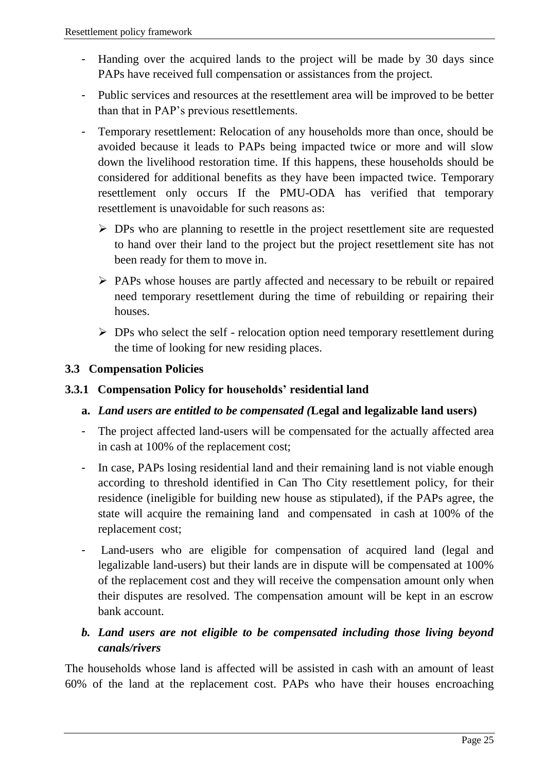- Handing over the acquired lands to the project will be made by 30 days since PAPs have received full compensation or assistances from the project.
- Public services and resources at the resettlement area will be improved to be better than that in PAP's previous resettlements.
- Temporary resettlement: Relocation of any households more than once, should be avoided because it leads to PAPs being impacted twice or more and will slow down the livelihood restoration time. If this happens, these households should be considered for additional benefits as they have been impacted twice. Temporary resettlement only occurs If the PMU-ODA has verified that temporary resettlement is unavoidable for such reasons as:
	- $\triangleright$  DPs who are planning to resettle in the project resettlement site are requested to hand over their land to the project but the project resettlement site has not been ready for them to move in.
	- PAPs whose houses are partly affected and necessary to be rebuilt or repaired need temporary resettlement during the time of rebuilding or repairing their houses.
	- $\triangleright$  DPs who select the self relocation option need temporary resettlement during the time of looking for new residing places.

#### <span id="page-24-0"></span>**3.3 Compensation Policies**

#### <span id="page-24-1"></span>**3.3.1 Compensation Policy for households' residential land**

#### **a.** *Land users are entitled to be compensated (***Legal and legalizable land users)**

- The project affected land-users will be compensated for the actually affected area in cash at 100% of the replacement cost;
- In case, PAPs losing residential land and their remaining land is not viable enough according to threshold identified in Can Tho City resettlement policy, for their residence (ineligible for building new house as stipulated), if the PAPs agree, the state will acquire the remaining land and compensated in cash at 100% of the replacement cost;
- Land-users who are eligible for compensation of acquired land (legal and legalizable land-users) but their lands are in dispute will be compensated at 100% of the replacement cost and they will receive the compensation amount only when their disputes are resolved. The compensation amount will be kept in an escrow bank account.

#### *b. Land users are not eligible to be compensated including those living beyond canals/rivers*

The households whose land is affected will be assisted in cash with an amount of least 60% of the land at the replacement cost. PAPs who have their houses encroaching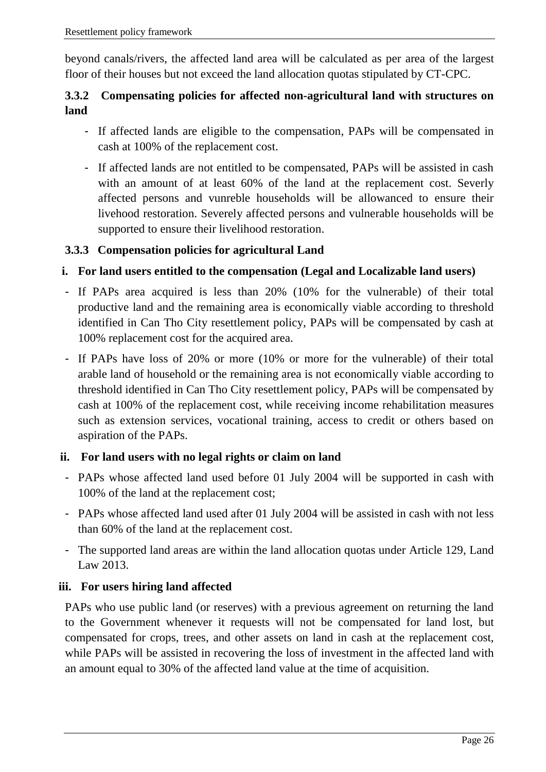beyond canals/rivers, the affected land area will be calculated as per area of the largest floor of their houses but not exceed the land allocation quotas stipulated by CT-CPC.

#### <span id="page-25-0"></span>**3.3.2 Compensating policies for affected non-agricultural land with structures on land**

- If affected lands are eligible to the compensation, PAPs will be compensated in cash at 100% of the replacement cost.
- If affected lands are not entitled to be compensated, PAPs will be assisted in cash with an amount of at least 60% of the land at the replacement cost. Severly affected persons and vunreble households will be allowanced to ensure their livehood restoration. Severely affected persons and vulnerable households will be supported to ensure their livelihood restoration.

#### <span id="page-25-1"></span>**3.3.3 Compensation policies for agricultural Land**

#### **i. For land users entitled to the compensation (Legal and Localizable land users)**

- If PAPs area acquired is less than 20% (10% for the vulnerable) of their total productive land and the remaining area is economically viable according to threshold identified in Can Tho City resettlement policy, PAPs will be compensated by cash at 100% replacement cost for the acquired area.
- If PAPs have loss of 20% or more (10% or more for the vulnerable) of their total arable land of household or the remaining area is not economically viable according to threshold identified in Can Tho City resettlement policy, PAPs will be compensated by cash at 100% of the replacement cost, while receiving income rehabilitation measures such as extension services, vocational training, access to credit or others based on aspiration of the PAPs.

#### **ii. For land users with no legal rights or claim on land**

- PAPs whose affected land used before 01 July 2004 will be supported in cash with 100% of the land at the replacement cost;
- PAPs whose affected land used after 01 July 2004 will be assisted in cash with not less than 60% of the land at the replacement cost.
- The supported land areas are within the land allocation quotas under Article 129, Land Law 2013.

#### **iii. For users hiring land affected**

PAPs who use public land (or reserves) with a previous agreement on returning the land to the Government whenever it requests will not be compensated for land lost, but compensated for crops, trees, and other assets on land in cash at the replacement cost, while PAPs will be assisted in recovering the loss of investment in the affected land with an amount equal to 30% of the affected land value at the time of acquisition.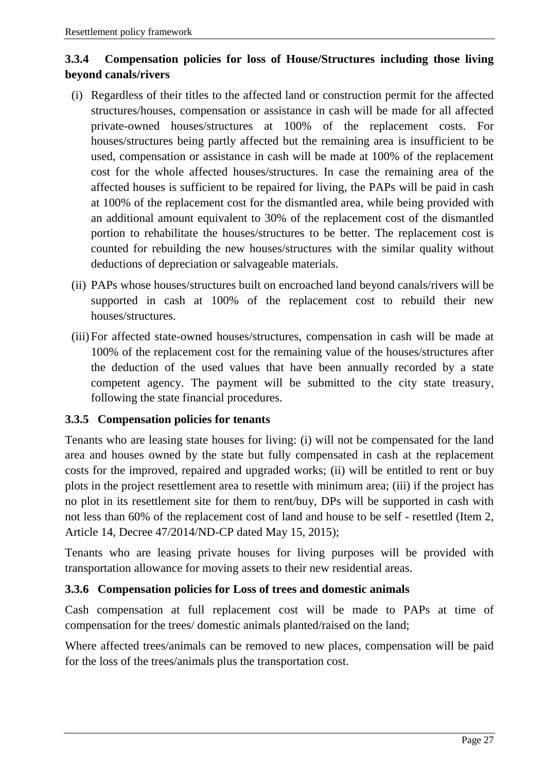#### <span id="page-26-0"></span>**3.3.4 Compensation policies for loss of House/Structures including those living beyond canals/rivers**

- (i) Regardless of their titles to the affected land or construction permit for the affected structures/houses, compensation or assistance in cash will be made for all affected private-owned houses/structures at 100% of the replacement costs. For houses/structures being partly affected but the remaining area is insufficient to be used, compensation or assistance in cash will be made at 100% of the replacement cost for the whole affected houses/structures. In case the remaining area of the affected houses is sufficient to be repaired for living, the PAPs will be paid in cash at 100% of the replacement cost for the dismantled area, while being provided with an additional amount equivalent to 30% of the replacement cost of the dismantled portion to rehabilitate the houses/structures to be better. The replacement cost is counted for rebuilding the new houses/structures with the similar quality without deductions of depreciation or salvageable materials.
- (ii) PAPs whose houses/structures built on encroached land beyond canals/rivers will be supported in cash at 100% of the replacement cost to rebuild their new houses/structures.
- (iii)For affected state-owned houses/structures, compensation in cash will be made at 100% of the replacement cost for the remaining value of the houses/structures after the deduction of the used values that have been annually recorded by a state competent agency. The payment will be submitted to the city state treasury, following the state financial procedures.

#### <span id="page-26-1"></span>**3.3.5 Compensation policies for tenants**

Tenants who are leasing state houses for living: (i) will not be compensated for the land area and houses owned by the state but fully compensated in cash at the replacement costs for the improved, repaired and upgraded works; (ii) will be entitled to rent or buy plots in the project resettlement area to resettle with minimum area; (iii) if the project has no plot in its resettlement site for them to rent/buy, DPs will be supported in cash with not less than 60% of the replacement cost of land and house to be self - resettled (Item 2, Article 14, Decree 47/2014/ND-CP dated May 15, 2015);

Tenants who are leasing private houses for living purposes will be provided with transportation allowance for moving assets to their new residential areas.

#### <span id="page-26-2"></span>**3.3.6 Compensation policies for Loss of trees and domestic animals**

Cash compensation at full replacement cost will be made to PAPs at time of compensation for the trees/ domestic animals planted/raised on the land;

Where affected trees/animals can be removed to new places, compensation will be paid for the loss of the trees/animals plus the transportation cost.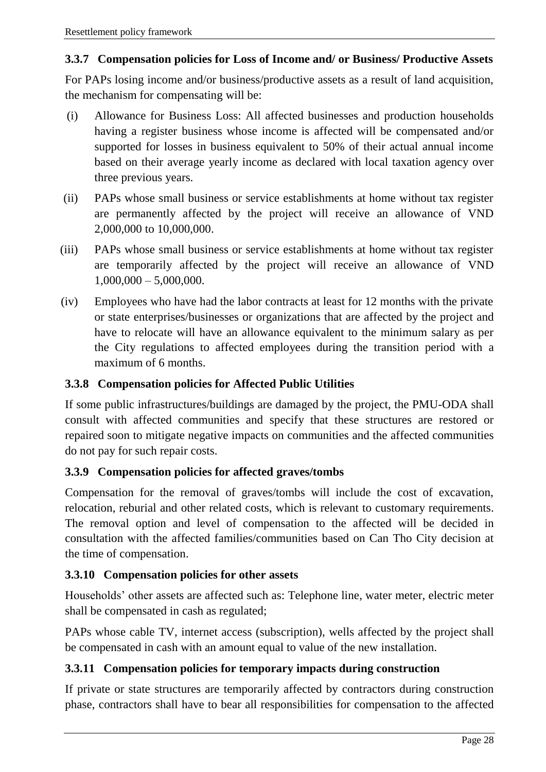#### <span id="page-27-0"></span>**3.3.7 Compensation policies for Loss of Income and/ or Business/ Productive Assets**

For PAPs losing income and/or business/productive assets as a result of land acquisition, the mechanism for compensating will be:

- (i) Allowance for Business Loss: All affected businesses and production households having a register business whose income is affected will be compensated and/or supported for losses in business equivalent to 50% of their actual annual income based on their average yearly income as declared with local taxation agency over three previous years.
- (ii) PAPs whose small business or service establishments at home without tax register are permanently affected by the project will receive an allowance of VND 2,000,000 to 10,000,000.
- (iii) PAPs whose small business or service establishments at home without tax register are temporarily affected by the project will receive an allowance of VND  $1,000,000 - 5,000,000.$
- (iv) Employees who have had the labor contracts at least for 12 months with the private or state enterprises/businesses or organizations that are affected by the project and have to relocate will have an allowance equivalent to the minimum salary as per the City regulations to affected employees during the transition period with a maximum of 6 months.

#### <span id="page-27-1"></span>**3.3.8 Compensation policies for Affected Public Utilities**

If some public infrastructures/buildings are damaged by the project, the PMU-ODA shall consult with affected communities and specify that these structures are restored or repaired soon to mitigate negative impacts on communities and the affected communities do not pay for such repair costs.

#### <span id="page-27-2"></span>**3.3.9 Compensation policies for affected graves/tombs**

Compensation for the removal of graves/tombs will include the cost of excavation, relocation, reburial and other related costs, which is relevant to customary requirements. The removal option and level of compensation to the affected will be decided in consultation with the affected families/communities based on Can Tho City decision at the time of compensation.

#### <span id="page-27-3"></span>**3.3.10 Compensation policies for other assets**

Households' other assets are affected such as: Telephone line, water meter, electric meter shall be compensated in cash as regulated;

PAPs whose cable TV, internet access (subscription), wells affected by the project shall be compensated in cash with an amount equal to value of the new installation.

#### <span id="page-27-4"></span>**3.3.11 Compensation policies for temporary impacts during construction**

If private or state structures are temporarily affected by contractors during construction phase, contractors shall have to bear all responsibilities for compensation to the affected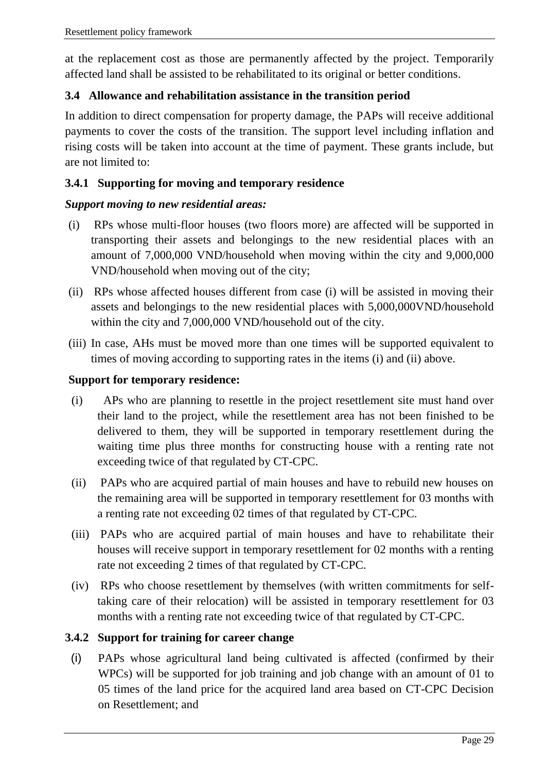at the replacement cost as those are permanently affected by the project. Temporarily affected land shall be assisted to be rehabilitated to its original or better conditions.

#### <span id="page-28-0"></span>**3.4 Allowance and rehabilitation assistance in the transition period**

In addition to direct compensation for property damage, the PAPs will receive additional payments to cover the costs of the transition. The support level including inflation and rising costs will be taken into account at the time of payment. These grants include, but are not limited to:

#### <span id="page-28-1"></span>**3.4.1 Supporting for moving and temporary residence**

#### *Support moving to new residential areas:*

- (i) RPs whose multi-floor houses (two floors more) are affected will be supported in transporting their assets and belongings to the new residential places with an amount of 7,000,000 VND/household when moving within the city and 9,000,000 VND/household when moving out of the city;
- (ii) RPs whose affected houses different from case (i) will be assisted in moving their assets and belongings to the new residential places with 5,000,000VND/household within the city and 7,000,000 VND/household out of the city.
- (iii) In case, AHs must be moved more than one times will be supported equivalent to times of moving according to supporting rates in the items (i) and (ii) above.

#### **Support for temporary residence:**

- (i) APs who are planning to resettle in the project resettlement site must hand over their land to the project, while the resettlement area has not been finished to be delivered to them, they will be supported in temporary resettlement during the waiting time plus three months for constructing house with a renting rate not exceeding twice of that regulated by CT-CPC.
- (ii) PAPs who are acquired partial of main houses and have to rebuild new houses on the remaining area will be supported in temporary resettlement for 03 months with a renting rate not exceeding 02 times of that regulated by CT-CPC.
- (iii) PAPs who are acquired partial of main houses and have to rehabilitate their houses will receive support in temporary resettlement for 02 months with a renting rate not exceeding 2 times of that regulated by CT-CPC.
- (iv) RPs who choose resettlement by themselves (with written commitments for selftaking care of their relocation) will be assisted in temporary resettlement for 03 months with a renting rate not exceeding twice of that regulated by CT-CPC.

#### <span id="page-28-2"></span>**3.4.2 Support for training for career change**

(i) PAPs whose agricultural land being cultivated is affected (confirmed by their WPCs) will be supported for job training and job change with an amount of 01 to 05 times of the land price for the acquired land area based on CT-CPC Decision on Resettlement; and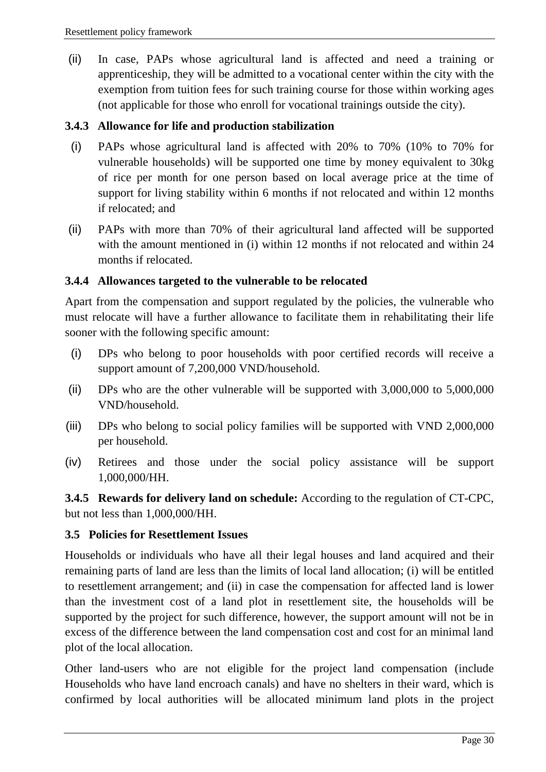(ii) In case, PAPs whose agricultural land is affected and need a training or apprenticeship, they will be admitted to a vocational center within the city with the exemption from tuition fees for such training course for those within working ages (not applicable for those who enroll for vocational trainings outside the city).

#### <span id="page-29-0"></span>**3.4.3 Allowance for life and production stabilization**

- (i) PAPs whose agricultural land is affected with 20% to 70% (10% to 70% for vulnerable households) will be supported one time by money equivalent to 30kg of rice per month for one person based on local average price at the time of support for living stability within 6 months if not relocated and within 12 months if relocated; and
- (ii) PAPs with more than 70% of their agricultural land affected will be supported with the amount mentioned in (i) within 12 months if not relocated and within 24 months if relocated.

#### <span id="page-29-1"></span>**3.4.4 Allowances targeted to the vulnerable to be relocated**

Apart from the compensation and support regulated by the policies, the vulnerable who must relocate will have a further allowance to facilitate them in rehabilitating their life sooner with the following specific amount:

- (i) DPs who belong to poor households with poor certified records will receive a support amount of 7,200,000 VND/household.
- (ii) DPs who are the other vulnerable will be supported with 3,000,000 to 5,000,000 VND/household.
- (iii) DPs who belong to social policy families will be supported with VND 2,000,000 per household.
- (iv) Retirees and those under the social policy assistance will be support 1,000,000/HH.

<span id="page-29-2"></span>**3.4.5 Rewards for delivery land on schedule:** According to the regulation of CT-CPC, but not less than 1,000,000/HH.

#### <span id="page-29-3"></span>**3.5 Policies for Resettlement Issues**

Households or individuals who have all their legal houses and land acquired and their remaining parts of land are less than the limits of local land allocation; (i) will be entitled to resettlement arrangement; and (ii) in case the compensation for affected land is lower than the investment cost of a land plot in resettlement site, the households will be supported by the project for such difference, however, the support amount will not be in excess of the difference between the land compensation cost and cost for an minimal land plot of the local allocation.

Other land-users who are not eligible for the project land compensation (include Households who have land encroach canals) and have no shelters in their ward, which is confirmed by local authorities will be allocated minimum land plots in the project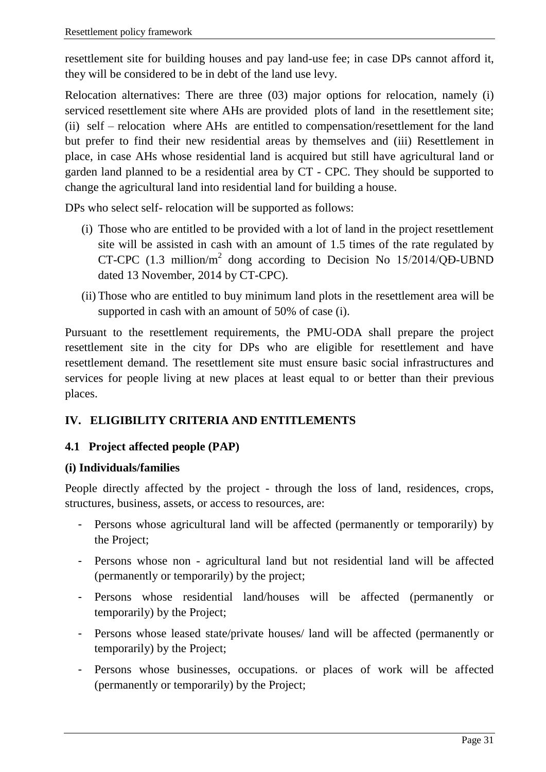resettlement site for building houses and pay land-use fee; in case DPs cannot afford it, they will be considered to be in debt of the land use levy.

Relocation alternatives: There are three (03) major options for relocation, namely (i) serviced resettlement site where AHs are provided plots of land in the resettlement site; (ii) self – relocation where AHs are entitled to compensation/resettlement for the land but prefer to find their new residential areas by themselves and (iii) Resettlement in place, in case AHs whose residential land is acquired but still have agricultural land or garden land planned to be a residential area by CT - CPC. They should be supported to change the agricultural land into residential land for building a house.

DPs who select self- relocation will be supported as follows:

- (i) Those who are entitled to be provided with a lot of land in the project resettlement site will be assisted in cash with an amount of 1.5 times of the rate regulated by CT-CPC  $(1.3 \text{ million/m}^2 \text{dong according to Decision No } 15/2014/\text{QD-UBND})$ dated 13 November, 2014 by CT-CPC).
- (ii) Those who are entitled to buy minimum land plots in the resettlement area will be supported in cash with an amount of 50% of case (i).

Pursuant to the resettlement requirements, the PMU-ODA shall prepare the project resettlement site in the city for DPs who are eligible for resettlement and have resettlement demand. The resettlement site must ensure basic social infrastructures and services for people living at new places at least equal to or better than their previous places.

#### <span id="page-30-0"></span>**IV. ELIGIBILITY CRITERIA AND ENTITLEMENTS**

#### <span id="page-30-1"></span>**4.1 Project affected people (PAP)**

#### **(i) Individuals/families**

People directly affected by the project - through the loss of land, residences, crops, structures, business, assets, or access to resources, are:

- Persons whose agricultural land will be affected (permanently or temporarily) by the Project;
- Persons whose non agricultural land but not residential land will be affected (permanently or temporarily) by the project;
- Persons whose residential land/houses will be affected (permanently or temporarily) by the Project;
- Persons whose leased state/private houses/ land will be affected (permanently or temporarily) by the Project;
- Persons whose businesses, occupations. or places of work will be affected (permanently or temporarily) by the Project;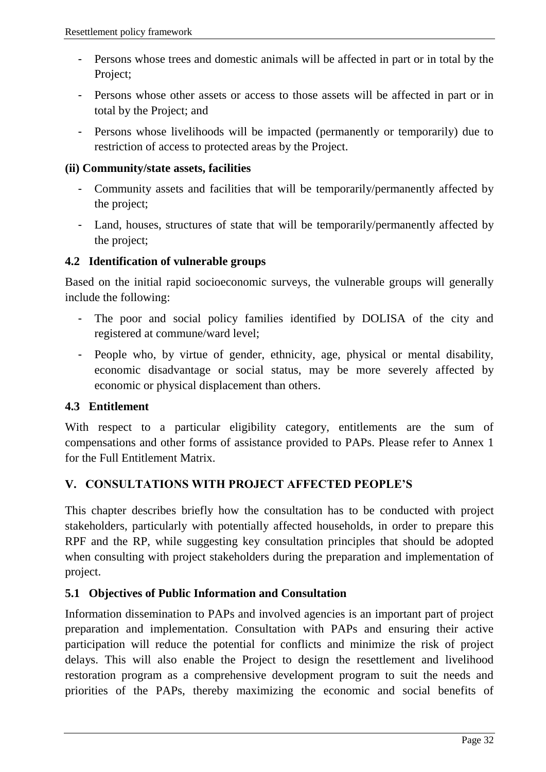- Persons whose trees and domestic animals will be affected in part or in total by the Project;
- Persons whose other assets or access to those assets will be affected in part or in total by the Project; and
- Persons whose livelihoods will be impacted (permanently or temporarily) due to restriction of access to protected areas by the Project.

#### **(ii) Community/state assets, facilities**

- Community assets and facilities that will be temporarily/permanently affected by the project;
- Land, houses, structures of state that will be temporarily/permanently affected by the project;

#### <span id="page-31-0"></span>**4.2 Identification of vulnerable groups**

Based on the initial rapid socioeconomic surveys, the vulnerable groups will generally include the following:

- The poor and social policy families identified by DOLISA of the city and registered at commune/ward level;
- People who, by virtue of gender, ethnicity, age, physical or mental disability, economic disadvantage or social status, may be more severely affected by economic or physical displacement than others.

#### <span id="page-31-1"></span>**4.3 Entitlement**

With respect to a particular eligibility category, entitlements are the sum of compensations and other forms of assistance provided to PAPs. Please refer to Annex 1 for the Full Entitlement Matrix.

#### <span id="page-31-2"></span>**V. CONSULTATIONS WITH PROJECT AFFECTED PEOPLE'S**

This chapter describes briefly how the consultation has to be conducted with project stakeholders, particularly with potentially affected households, in order to prepare this RPF and the RP, while suggesting key consultation principles that should be adopted when consulting with project stakeholders during the preparation and implementation of project.

#### <span id="page-31-3"></span>**5.1 Objectives of Public Information and Consultation**

Information dissemination to PAPs and involved agencies is an important part of project preparation and implementation. Consultation with PAPs and ensuring their active participation will reduce the potential for conflicts and minimize the risk of project delays. This will also enable the Project to design the resettlement and livelihood restoration program as a comprehensive development program to suit the needs and priorities of the PAPs, thereby maximizing the economic and social benefits of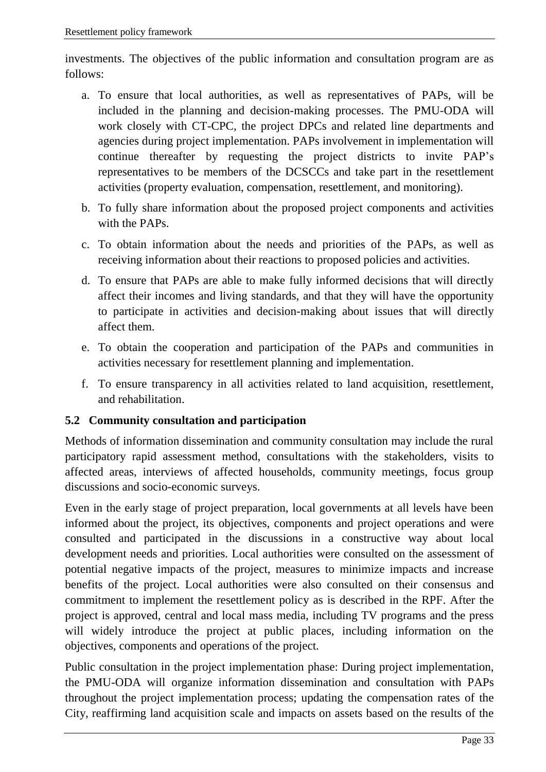investments. The objectives of the public information and consultation program are as follows:

- a. To ensure that local authorities, as well as representatives of PAPs, will be included in the planning and decision-making processes. The PMU-ODA will work closely with CT-CPC, the project DPCs and related line departments and agencies during project implementation. PAPs involvement in implementation will continue thereafter by requesting the project districts to invite PAP's representatives to be members of the DCSCCs and take part in the resettlement activities (property evaluation, compensation, resettlement, and monitoring).
- b. To fully share information about the proposed project components and activities with the PAPs.
- c. To obtain information about the needs and priorities of the PAPs, as well as receiving information about their reactions to proposed policies and activities.
- d. To ensure that PAPs are able to make fully informed decisions that will directly affect their incomes and living standards, and that they will have the opportunity to participate in activities and decision-making about issues that will directly affect them.
- e. To obtain the cooperation and participation of the PAPs and communities in activities necessary for resettlement planning and implementation.
- f. To ensure transparency in all activities related to land acquisition, resettlement, and rehabilitation.

#### <span id="page-32-0"></span>**5.2 Community consultation and participation**

Methods of information dissemination and community consultation may include the rural participatory rapid assessment method, consultations with the stakeholders, visits to affected areas, interviews of affected households, community meetings, focus group discussions and socio-economic surveys.

Even in the early stage of project preparation, local governments at all levels have been informed about the project, its objectives, components and project operations and were consulted and participated in the discussions in a constructive way about local development needs and priorities. Local authorities were consulted on the assessment of potential negative impacts of the project, measures to minimize impacts and increase benefits of the project. Local authorities were also consulted on their consensus and commitment to implement the resettlement policy as is described in the RPF. After the project is approved, central and local mass media, including TV programs and the press will widely introduce the project at public places, including information on the objectives, components and operations of the project.

Public consultation in the project implementation phase: During project implementation, the PMU-ODA will organize information dissemination and consultation with PAPs throughout the project implementation process; updating the compensation rates of the City, reaffirming land acquisition scale and impacts on assets based on the results of the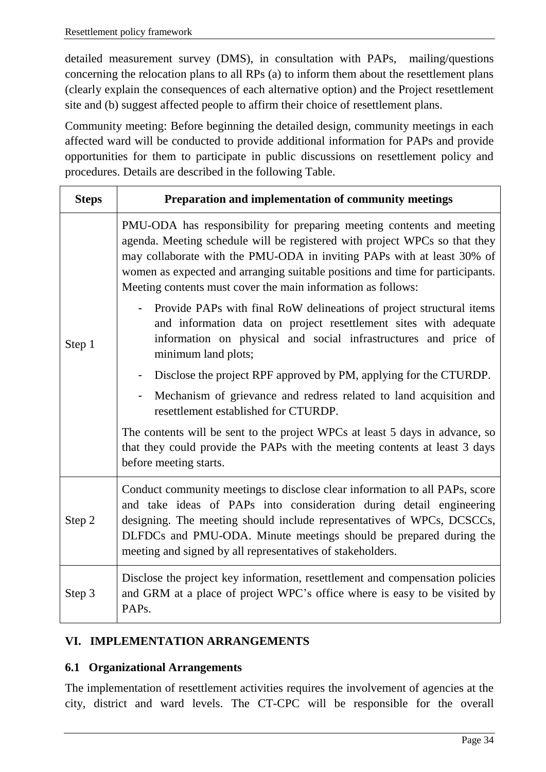detailed measurement survey (DMS), in consultation with PAPs, mailing/questions concerning the relocation plans to all RPs (a) to inform them about the resettlement plans (clearly explain the consequences of each alternative option) and the Project resettlement site and (b) suggest affected people to affirm their choice of resettlement plans.

Community meeting: Before beginning the detailed design, community meetings in each affected ward will be conducted to provide additional information for PAPs and provide opportunities for them to participate in public discussions on resettlement policy and procedures. Details are described in the following Table.

| <b>Steps</b> | Preparation and implementation of community meetings                                                                                                                                                                                                                                                                                                                           |
|--------------|--------------------------------------------------------------------------------------------------------------------------------------------------------------------------------------------------------------------------------------------------------------------------------------------------------------------------------------------------------------------------------|
|              | PMU-ODA has responsibility for preparing meeting contents and meeting<br>agenda. Meeting schedule will be registered with project WPCs so that they<br>may collaborate with the PMU-ODA in inviting PAPs with at least 30% of<br>women as expected and arranging suitable positions and time for participants.<br>Meeting contents must cover the main information as follows: |
| Step 1       | Provide PAPs with final RoW delineations of project structural items<br>and information data on project resettlement sites with adequate<br>information on physical and social infrastructures and price of<br>minimum land plots;                                                                                                                                             |
|              | Disclose the project RPF approved by PM, applying for the CTURDP.                                                                                                                                                                                                                                                                                                              |
|              | Mechanism of grievance and redress related to land acquisition and<br>resettlement established for CTURDP.                                                                                                                                                                                                                                                                     |
|              | The contents will be sent to the project WPCs at least 5 days in advance, so<br>that they could provide the PAPs with the meeting contents at least 3 days<br>before meeting starts.                                                                                                                                                                                           |
| Step 2       | Conduct community meetings to disclose clear information to all PAPs, score<br>and take ideas of PAPs into consideration during detail engineering<br>designing. The meeting should include representatives of WPCs, DCSCCs,<br>DLFDCs and PMU-ODA. Minute meetings should be prepared during the<br>meeting and signed by all representatives of stakeholders.                |
| Step 3       | Disclose the project key information, resettlement and compensation policies<br>and GRM at a place of project WPC's office where is easy to be visited by<br>PAP <sub>s</sub> .                                                                                                                                                                                                |

#### <span id="page-33-0"></span>**VI. IMPLEMENTATION ARRANGEMENTS**

#### <span id="page-33-1"></span>**6.1 Organizational Arrangements**

The implementation of resettlement activities requires the involvement of agencies at the city, district and ward levels. The CT-CPC will be responsible for the overall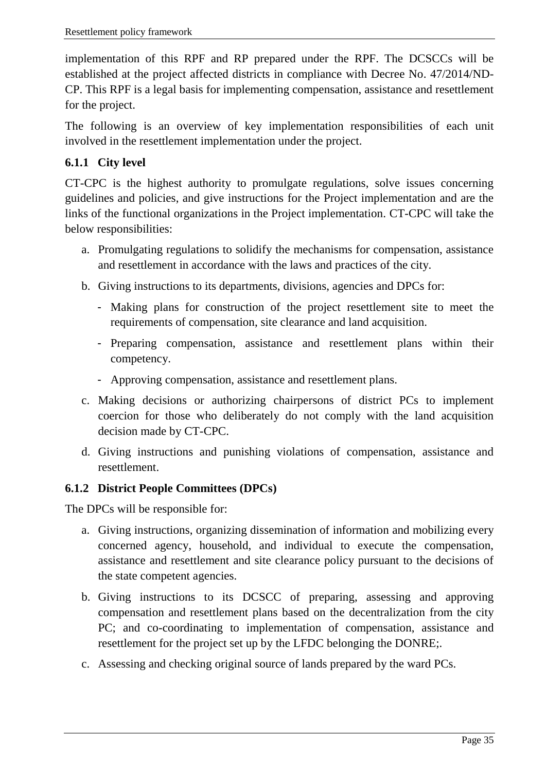implementation of this RPF and RP prepared under the RPF. The DCSCCs will be established at the project affected districts in compliance with Decree No. 47/2014/ND-CP. This RPF is a legal basis for implementing compensation, assistance and resettlement for the project.

The following is an overview of key implementation responsibilities of each unit involved in the resettlement implementation under the project.

#### <span id="page-34-0"></span>**6.1.1 City level**

CT-CPC is the highest authority to promulgate regulations, solve issues concerning guidelines and policies, and give instructions for the Project implementation and are the links of the functional organizations in the Project implementation. CT-CPC will take the below responsibilities:

- a. Promulgating regulations to solidify the mechanisms for compensation, assistance and resettlement in accordance with the laws and practices of the city.
- b. Giving instructions to its departments, divisions, agencies and DPCs for:
	- Making plans for construction of the project resettlement site to meet the requirements of compensation, site clearance and land acquisition.
	- Preparing compensation, assistance and resettlement plans within their competency.
	- Approving compensation, assistance and resettlement plans.
- c. Making decisions or authorizing chairpersons of district PCs to implement coercion for those who deliberately do not comply with the land acquisition decision made by CT-CPC.
- d. Giving instructions and punishing violations of compensation, assistance and resettlement.

#### <span id="page-34-1"></span>**6.1.2 District People Committees (DPCs)**

The DPCs will be responsible for:

- a. Giving instructions, organizing dissemination of information and mobilizing every concerned agency, household, and individual to execute the compensation, assistance and resettlement and site clearance policy pursuant to the decisions of the state competent agencies.
- b. Giving instructions to its DCSCC of preparing, assessing and approving compensation and resettlement plans based on the decentralization from the city PC; and co-coordinating to implementation of compensation, assistance and resettlement for the project set up by the LFDC belonging the DONRE;.
- c. Assessing and checking original source of lands prepared by the ward PCs.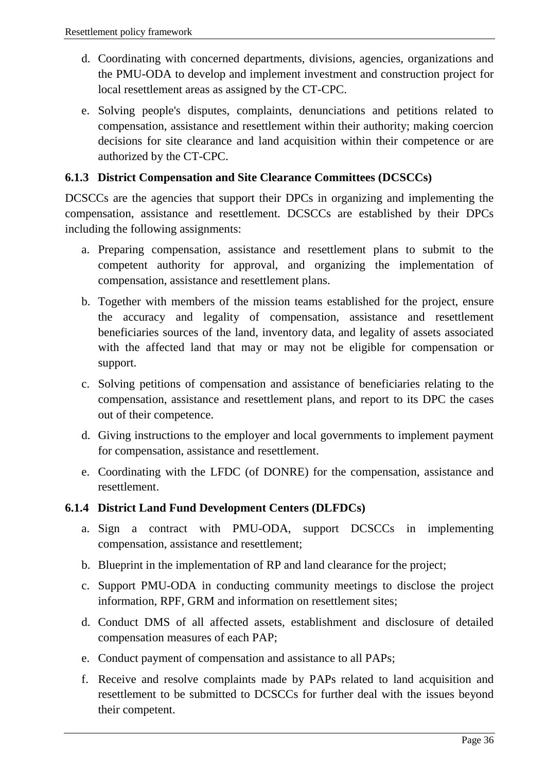- d. Coordinating with concerned departments, divisions, agencies, organizations and the PMU-ODA to develop and implement investment and construction project for local resettlement areas as assigned by the CT-CPC.
- e. Solving people's disputes, complaints, denunciations and petitions related to compensation, assistance and resettlement within their authority; making coercion decisions for site clearance and land acquisition within their competence or are authorized by the CT-CPC.

#### <span id="page-35-0"></span>**6.1.3 District Compensation and Site Clearance Committees (DCSCCs)**

DCSCCs are the agencies that support their DPCs in organizing and implementing the compensation, assistance and resettlement. DCSCCs are established by their DPCs including the following assignments:

- a. Preparing compensation, assistance and resettlement plans to submit to the competent authority for approval, and organizing the implementation of compensation, assistance and resettlement plans.
- b. Together with members of the mission teams established for the project, ensure the accuracy and legality of compensation, assistance and resettlement beneficiaries sources of the land, inventory data, and legality of assets associated with the affected land that may or may not be eligible for compensation or support.
- c. Solving petitions of compensation and assistance of beneficiaries relating to the compensation, assistance and resettlement plans, and report to its DPC the cases out of their competence.
- d. Giving instructions to the employer and local governments to implement payment for compensation, assistance and resettlement.
- e. Coordinating with the LFDC (of DONRE) for the compensation, assistance and resettlement.

#### <span id="page-35-1"></span>**6.1.4 District Land Fund Development Centers (DLFDCs)**

- a. Sign a contract with PMU-ODA, support DCSCCs in implementing compensation, assistance and resettlement;
- b. Blueprint in the implementation of RP and land clearance for the project;
- c. Support PMU-ODA in conducting community meetings to disclose the project information, RPF, GRM and information on resettlement sites;
- d. Conduct DMS of all affected assets, establishment and disclosure of detailed compensation measures of each PAP;
- e. Conduct payment of compensation and assistance to all PAPs;
- f. Receive and resolve complaints made by PAPs related to land acquisition and resettlement to be submitted to DCSCCs for further deal with the issues beyond their competent.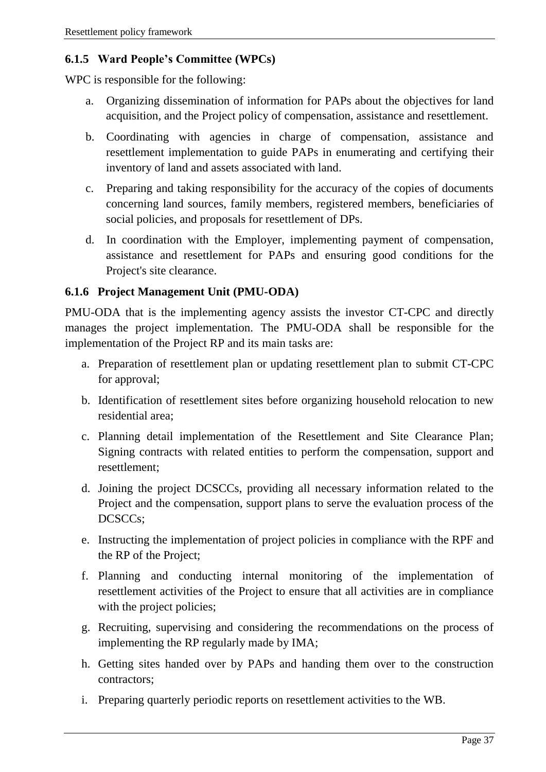#### <span id="page-36-0"></span>**6.1.5 Ward People's Committee (WPCs)**

WPC is responsible for the following:

- a. Organizing dissemination of information for PAPs about the objectives for land acquisition, and the Project policy of compensation, assistance and resettlement.
- b. Coordinating with agencies in charge of compensation, assistance and resettlement implementation to guide PAPs in enumerating and certifying their inventory of land and assets associated with land.
- c. Preparing and taking responsibility for the accuracy of the copies of documents concerning land sources, family members, registered members, beneficiaries of social policies, and proposals for resettlement of DPs.
- d. In coordination with the Employer, implementing payment of compensation, assistance and resettlement for PAPs and ensuring good conditions for the Project's site clearance.

#### <span id="page-36-1"></span>**6.1.6 Project Management Unit (PMU-ODA)**

PMU-ODA that is the implementing agency assists the investor CT-CPC and directly manages the project implementation. The PMU-ODA shall be responsible for the implementation of the Project RP and its main tasks are:

- a. Preparation of resettlement plan or updating resettlement plan to submit CT-CPC for approval;
- b. Identification of resettlement sites before organizing household relocation to new residential area;
- c. Planning detail implementation of the Resettlement and Site Clearance Plan; Signing contracts with related entities to perform the compensation, support and resettlement;
- d. Joining the project DCSCCs, providing all necessary information related to the Project and the compensation, support plans to serve the evaluation process of the DCSCCs;
- e. Instructing the implementation of project policies in compliance with the RPF and the RP of the Project;
- f. Planning and conducting internal monitoring of the implementation of resettlement activities of the Project to ensure that all activities are in compliance with the project policies;
- g. Recruiting, supervising and considering the recommendations on the process of implementing the RP regularly made by IMA;
- h. Getting sites handed over by PAPs and handing them over to the construction contractors;
- i. Preparing quarterly periodic reports on resettlement activities to the WB.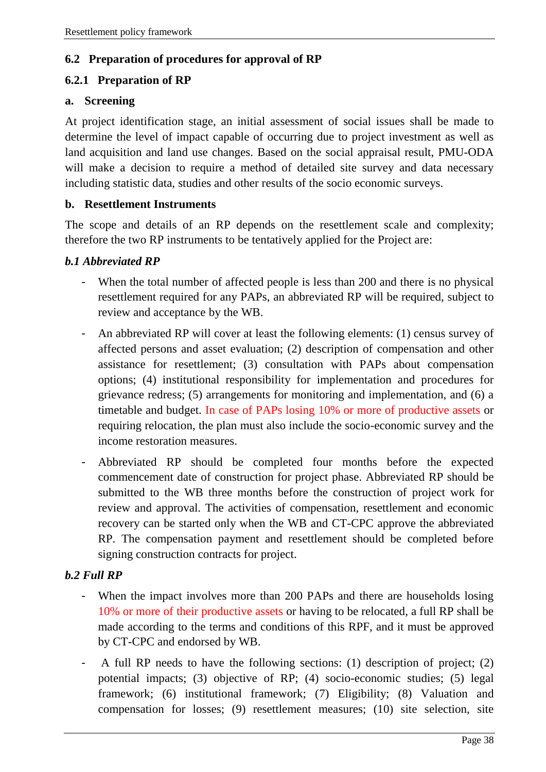#### <span id="page-37-0"></span>**6.2 Preparation of procedures for approval of RP**

#### <span id="page-37-1"></span>**6.2.1 Preparation of RP**

#### **a. Screening**

At project identification stage, an initial assessment of social issues shall be made to determine the level of impact capable of occurring due to project investment as well as land acquisition and land use changes. Based on the social appraisal result, PMU-ODA will make a decision to require a method of detailed site survey and data necessary including statistic data, studies and other results of the socio economic surveys.

#### **b. Resettlement Instruments**

The scope and details of an RP depends on the resettlement scale and complexity; therefore the two RP instruments to be tentatively applied for the Project are:

#### *b.1 Abbreviated RP*

- When the total number of affected people is less than 200 and there is no physical resettlement required for any PAPs, an abbreviated RP will be required, subject to review and acceptance by the WB.
- An abbreviated RP will cover at least the following elements: (1) census survey of affected persons and asset evaluation; (2) description of compensation and other assistance for resettlement; (3) consultation with PAPs about compensation options; (4) institutional responsibility for implementation and procedures for grievance redress; (5) arrangements for monitoring and implementation, and (6) a timetable and budget. In case of PAPs losing 10% or more of productive assets or requiring relocation, the plan must also include the socio-economic survey and the income restoration measures.
- Abbreviated RP should be completed four months before the expected commencement date of construction for project phase. Abbreviated RP should be submitted to the WB three months before the construction of project work for review and approval. The activities of compensation, resettlement and economic recovery can be started only when the WB and CT-CPC approve the abbreviated RP. The compensation payment and resettlement should be completed before signing construction contracts for project.

#### *b.2 Full RP*

- When the impact involves more than 200 PAPs and there are households losing 10% or more of their productive assets or having to be relocated, a full RP shall be made according to the terms and conditions of this RPF, and it must be approved by CT-CPC and endorsed by WB.
- A full RP needs to have the following sections: (1) description of project; (2) potential impacts; (3) objective of RP; (4) socio-economic studies; (5) legal framework; (6) institutional framework; (7) Eligibility; (8) Valuation and compensation for losses; (9) resettlement measures; (10) site selection, site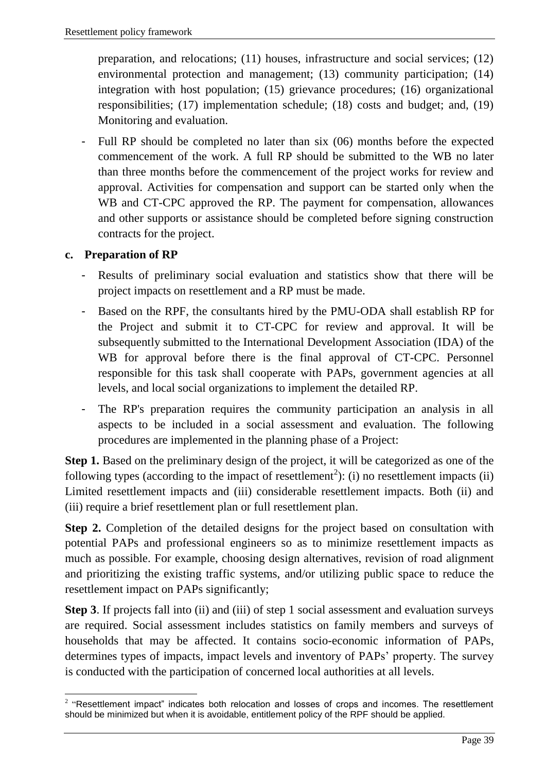preparation, and relocations; (11) houses, infrastructure and social services; (12) environmental protection and management; (13) community participation; (14) integration with host population; (15) grievance procedures; (16) organizational responsibilities; (17) implementation schedule; (18) costs and budget; and, (19) Monitoring and evaluation.

- Full RP should be completed no later than six (06) months before the expected commencement of the work. A full RP should be submitted to the WB no later than three months before the commencement of the project works for review and approval. Activities for compensation and support can be started only when the WB and CT-CPC approved the RP. The payment for compensation, allowances and other supports or assistance should be completed before signing construction contracts for the project.

#### **c. Preparation of RP**

- Results of preliminary social evaluation and statistics show that there will be project impacts on resettlement and a RP must be made.
- Based on the RPF, the consultants hired by the PMU-ODA shall establish RP for the Project and submit it to CT-CPC for review and approval. It will be subsequently submitted to the International Development Association (IDA) of the WB for approval before there is the final approval of CT-CPC. Personnel responsible for this task shall cooperate with PAPs, government agencies at all levels, and local social organizations to implement the detailed RP.
- The RP's preparation requires the community participation an analysis in all aspects to be included in a social assessment and evaluation. The following procedures are implemented in the planning phase of a Project:

**Step 1.** Based on the preliminary design of the project, it will be categorized as one of the following types (according to the impact of resettlement<sup>2</sup>): (i) no resettlement impacts (ii) Limited resettlement impacts and (iii) considerable resettlement impacts. Both (ii) and (iii) require a brief resettlement plan or full resettlement plan.

**Step 2.** Completion of the detailed designs for the project based on consultation with potential PAPs and professional engineers so as to minimize resettlement impacts as much as possible. For example, choosing design alternatives, revision of road alignment and prioritizing the existing traffic systems, and/or utilizing public space to reduce the resettlement impact on PAPs significantly;

**Step 3**. If projects fall into (ii) and (iii) of step 1 social assessment and evaluation surveys are required. Social assessment includes statistics on family members and surveys of households that may be affected. It contains socio-economic information of PAPs, determines types of impacts, impact levels and inventory of PAPs' property. The survey is conducted with the participation of concerned local authorities at all levels.

 $\overline{\phantom{a}}$  $2$  "Resettlement impact" indicates both relocation and losses of crops and incomes. The resettlement should be minimized but when it is avoidable, entitlement policy of the RPF should be applied.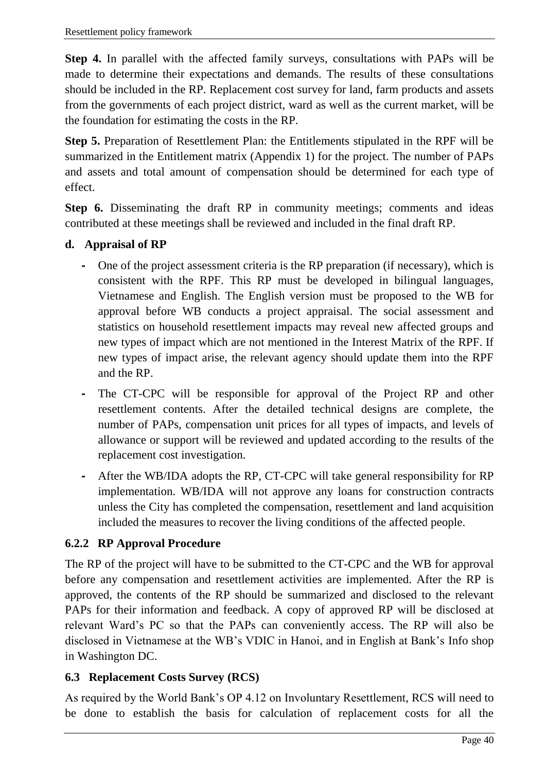**Step 4.** In parallel with the affected family surveys, consultations with PAPs will be made to determine their expectations and demands. The results of these consultations should be included in the RP. Replacement cost survey for land, farm products and assets from the governments of each project district, ward as well as the current market, will be the foundation for estimating the costs in the RP.

**Step 5.** Preparation of Resettlement Plan: the Entitlements stipulated in the RPF will be summarized in the Entitlement matrix (Appendix 1) for the project. The number of PAPs and assets and total amount of compensation should be determined for each type of effect.

**Step 6.** Disseminating the draft RP in community meetings; comments and ideas contributed at these meetings shall be reviewed and included in the final draft RP.

#### **d. Appraisal of RP**

- *-* One of the project assessment criteria is the RP preparation (if necessary), which is consistent with the RPF. This RP must be developed in bilingual languages, Vietnamese and English. The English version must be proposed to the WB for approval before WB conducts a project appraisal. The social assessment and statistics on household resettlement impacts may reveal new affected groups and new types of impact which are not mentioned in the Interest Matrix of the RPF. If new types of impact arise, the relevant agency should update them into the RPF and the RP.
- *-* The CT-CPC will be responsible for approval of the Project RP and other resettlement contents. After the detailed technical designs are complete, the number of PAPs, compensation unit prices for all types of impacts, and levels of allowance or support will be reviewed and updated according to the results of the replacement cost investigation.
- *-* After the WB/IDA adopts the RP, CT-CPC will take general responsibility for RP implementation. WB/IDA will not approve any loans for construction contracts unless the City has completed the compensation, resettlement and land acquisition included the measures to recover the living conditions of the affected people.

#### <span id="page-39-0"></span>**6.2.2 RP Approval Procedure**

The RP of the project will have to be submitted to the CT-CPC and the WB for approval before any compensation and resettlement activities are implemented. After the RP is approved, the contents of the RP should be summarized and disclosed to the relevant PAPs for their information and feedback. A copy of approved RP will be disclosed at relevant Ward's PC so that the PAPs can conveniently access. The RP will also be disclosed in Vietnamese at the WB's VDIC in Hanoi, and in English at Bank's Info shop in Washington DC.

#### <span id="page-39-1"></span>**6.3 Replacement Costs Survey (RCS)**

As required by the World Bank's OP 4.12 on Involuntary Resettlement, RCS will need to be done to establish the basis for calculation of replacement costs for all the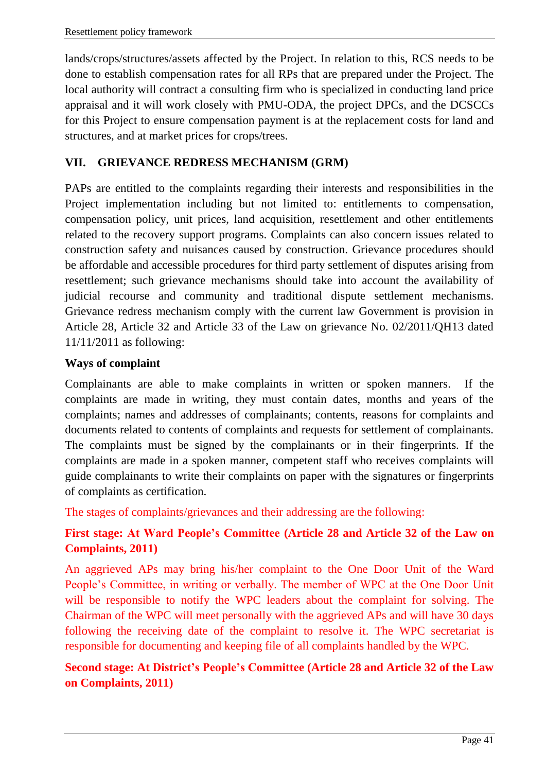lands/crops/structures/assets affected by the Project. In relation to this, RCS needs to be done to establish compensation rates for all RPs that are prepared under the Project. The local authority will contract a consulting firm who is specialized in conducting land price appraisal and it will work closely with PMU-ODA, the project DPCs, and the DCSCCs for this Project to ensure compensation payment is at the replacement costs for land and structures, and at market prices for crops/trees.

#### <span id="page-40-0"></span>**VII. GRIEVANCE REDRESS MECHANISM (GRM)**

PAPs are entitled to the complaints regarding their interests and responsibilities in the Project implementation including but not limited to: entitlements to compensation, compensation policy, unit prices, land acquisition, resettlement and other entitlements related to the recovery support programs. Complaints can also concern issues related to construction safety and nuisances caused by construction. Grievance procedures should be affordable and accessible procedures for third party settlement of disputes arising from resettlement; such grievance mechanisms should take into account the availability of judicial recourse and community and traditional dispute settlement mechanisms. Grievance redress mechanism comply with the current law Government is provision in Article 28, Article 32 and Article 33 of the Law on grievance No. 02/2011/QH13 dated 11/11/2011 as following:

#### **Ways of complaint**

Complainants are able to make complaints in written or spoken manners. If the complaints are made in writing, they must contain dates, months and years of the complaints; names and addresses of complainants; contents, reasons for complaints and documents related to contents of complaints and requests for settlement of complainants. The complaints must be signed by the complainants or in their fingerprints. If the complaints are made in a spoken manner, competent staff who receives complaints will guide complainants to write their complaints on paper with the signatures or fingerprints of complaints as certification.

The stages of complaints/grievances and their addressing are the following:

#### **First stage: At Ward People's Committee (Article 28 and Article 32 of the Law on Complaints, 2011)**

An aggrieved APs may bring his/her complaint to the One Door Unit of the Ward People's Committee, in writing or verbally. The member of WPC at the One Door Unit will be responsible to notify the WPC leaders about the complaint for solving. The Chairman of the WPC will meet personally with the aggrieved APs and will have 30 days following the receiving date of the complaint to resolve it. The WPC secretariat is responsible for documenting and keeping file of all complaints handled by the WPC.

#### **Second stage: At District's People's Committee (Article 28 and Article 32 of the Law on Complaints, 2011)**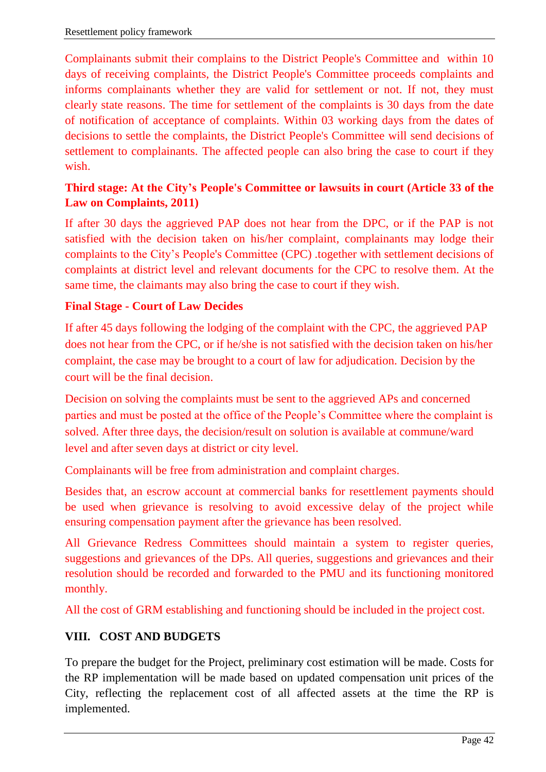Complainants submit their complains to the District People's Committee and within 10 days of receiving complaints, the District People's Committee proceeds complaints and informs complainants whether they are valid for settlement or not. If not, they must clearly state reasons. The time for settlement of the complaints is 30 days from the date of notification of acceptance of complaints. Within 03 working days from the dates of decisions to settle the complaints, the District People's Committee will send decisions of settlement to complainants. The affected people can also bring the case to court if they wish.

#### **Third stage: At the City's People's Committee or lawsuits in court (Article 33 of the Law on Complaints, 2011)**

If after 30 days the aggrieved PAP does not hear from the DPC, or if the PAP is not satisfied with the decision taken on his/her complaint, complainants may lodge their complaints to the City's People's Committee (CPC) .together with settlement decisions of complaints at district level and relevant documents for the CPC to resolve them. At the same time, the claimants may also bring the case to court if they wish.

#### **Final Stage - Court of Law Decides**

If after 45 days following the lodging of the complaint with the CPC, the aggrieved PAP does not hear from the CPC, or if he/she is not satisfied with the decision taken on his/her complaint, the case may be brought to a court of law for adjudication. Decision by the court will be the final decision.

Decision on solving the complaints must be sent to the aggrieved APs and concerned parties and must be posted at the office of the People's Committee where the complaint is solved. After three days, the decision/result on solution is available at commune/ward level and after seven days at district or city level.

Complainants will be free from administration and complaint charges.

Besides that, an escrow account at commercial banks for resettlement payments should be used when grievance is resolving to avoid excessive delay of the project while ensuring compensation payment after the grievance has been resolved.

All Grievance Redress Committees should maintain a system to register queries, suggestions and grievances of the DPs. All queries, suggestions and grievances and their resolution should be recorded and forwarded to the PMU and its functioning monitored monthly.

All the cost of GRM establishing and functioning should be included in the project cost.

#### <span id="page-41-0"></span>**VIII. COST AND BUDGETS**

To prepare the budget for the Project, preliminary cost estimation will be made. Costs for the RP implementation will be made based on updated compensation unit prices of the City, reflecting the replacement cost of all affected assets at the time the RP is implemented.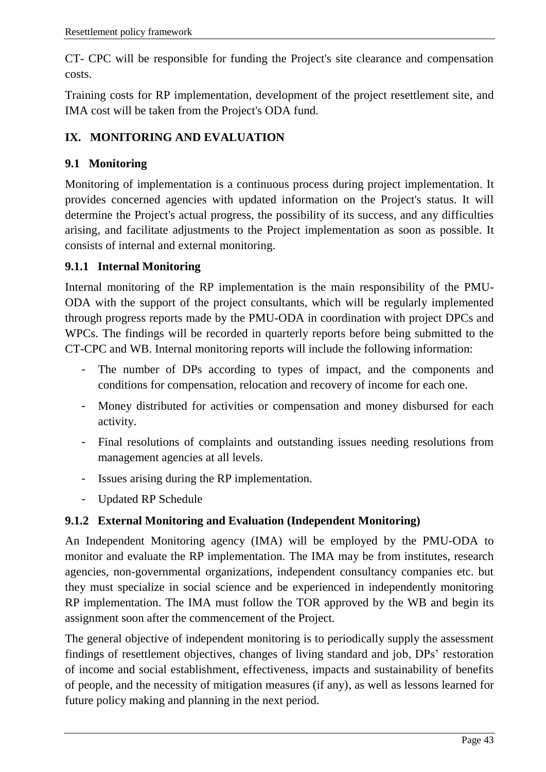CT- CPC will be responsible for funding the Project's site clearance and compensation costs.

Training costs for RP implementation, development of the project resettlement site, and IMA cost will be taken from the Project's ODA fund.

#### <span id="page-42-0"></span>**IX. MONITORING AND EVALUATION**

#### <span id="page-42-1"></span>**9.1 Monitoring**

Monitoring of implementation is a continuous process during project implementation. It provides concerned agencies with updated information on the Project's status. It will determine the Project's actual progress, the possibility of its success, and any difficulties arising, and facilitate adjustments to the Project implementation as soon as possible. It consists of internal and external monitoring.

#### <span id="page-42-2"></span>**9.1.1 Internal Monitoring**

Internal monitoring of the RP implementation is the main responsibility of the PMU-ODA with the support of the project consultants, which will be regularly implemented through progress reports made by the PMU-ODA in coordination with project DPCs and WPCs. The findings will be recorded in quarterly reports before being submitted to the CT-CPC and WB. Internal monitoring reports will include the following information:

- The number of DPs according to types of impact, and the components and conditions for compensation, relocation and recovery of income for each one.
- Money distributed for activities or compensation and money disbursed for each activity.
- Final resolutions of complaints and outstanding issues needing resolutions from management agencies at all levels.
- Issues arising during the RP implementation.
- Updated RP Schedule

#### <span id="page-42-3"></span>**9.1.2 External Monitoring and Evaluation (Independent Monitoring)**

An Independent Monitoring agency (IMA) will be employed by the PMU-ODA to monitor and evaluate the RP implementation. The IMA may be from institutes, research agencies, non-governmental organizations, independent consultancy companies etc. but they must specialize in social science and be experienced in independently monitoring RP implementation. The IMA must follow the TOR approved by the WB and begin its assignment soon after the commencement of the Project.

The general objective of independent monitoring is to periodically supply the assessment findings of resettlement objectives, changes of living standard and job, DPs' restoration of income and social establishment, effectiveness, impacts and sustainability of benefits of people, and the necessity of mitigation measures (if any), as well as lessons learned for future policy making and planning in the next period.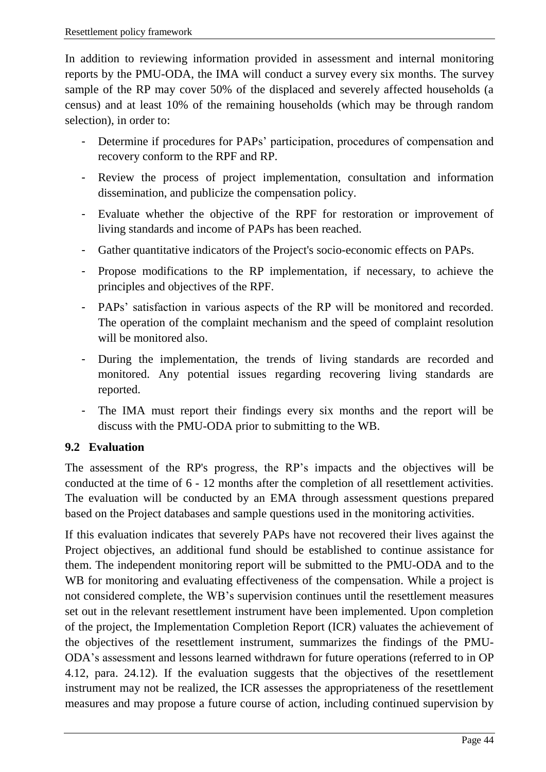In addition to reviewing information provided in assessment and internal monitoring reports by the PMU-ODA, the IMA will conduct a survey every six months. The survey sample of the RP may cover 50% of the displaced and severely affected households (a census) and at least 10% of the remaining households (which may be through random selection), in order to:

- Determine if procedures for PAPs' participation, procedures of compensation and recovery conform to the RPF and RP.
- Review the process of project implementation, consultation and information dissemination, and publicize the compensation policy.
- Evaluate whether the objective of the RPF for restoration or improvement of living standards and income of PAPs has been reached.
- Gather quantitative indicators of the Project's socio-economic effects on PAPs.
- Propose modifications to the RP implementation, if necessary, to achieve the principles and objectives of the RPF.
- PAPs' satisfaction in various aspects of the RP will be monitored and recorded. The operation of the complaint mechanism and the speed of complaint resolution will be monitored also.
- During the implementation, the trends of living standards are recorded and monitored. Any potential issues regarding recovering living standards are reported.
- The IMA must report their findings every six months and the report will be discuss with the PMU-ODA prior to submitting to the WB.

#### <span id="page-43-0"></span>**9.2 Evaluation**

The assessment of the RP's progress, the RP's impacts and the objectives will be conducted at the time of 6 - 12 months after the completion of all resettlement activities. The evaluation will be conducted by an EMA through assessment questions prepared based on the Project databases and sample questions used in the monitoring activities.

If this evaluation indicates that severely PAPs have not recovered their lives against the Project objectives, an additional fund should be established to continue assistance for them. The independent monitoring report will be submitted to the PMU-ODA and to the WB for monitoring and evaluating effectiveness of the compensation. While a project is not considered complete, the WB's supervision continues until the resettlement measures set out in the relevant resettlement instrument have been implemented. Upon completion of the project, the Implementation Completion Report (ICR) valuates the achievement of the objectives of the resettlement instrument, summarizes the findings of the PMU-ODA's assessment and lessons learned withdrawn for future operations (referred to in OP 4.12, para. 24.12). If the evaluation suggests that the objectives of the resettlement instrument may not be realized, the ICR assesses the appropriateness of the resettlement measures and may propose a future course of action, including continued supervision by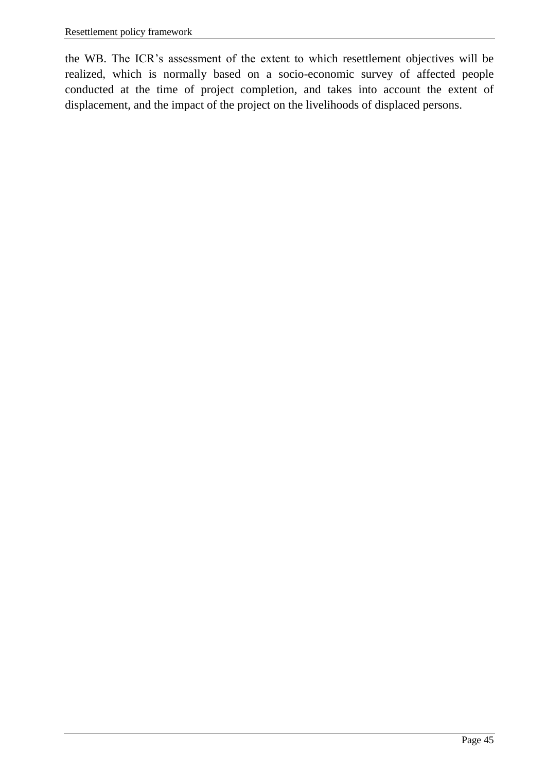the WB. The ICR's assessment of the extent to which resettlement objectives will be realized, which is normally based on a socio-economic survey of affected people conducted at the time of project completion, and takes into account the extent of displacement, and the impact of the project on the livelihoods of displaced persons.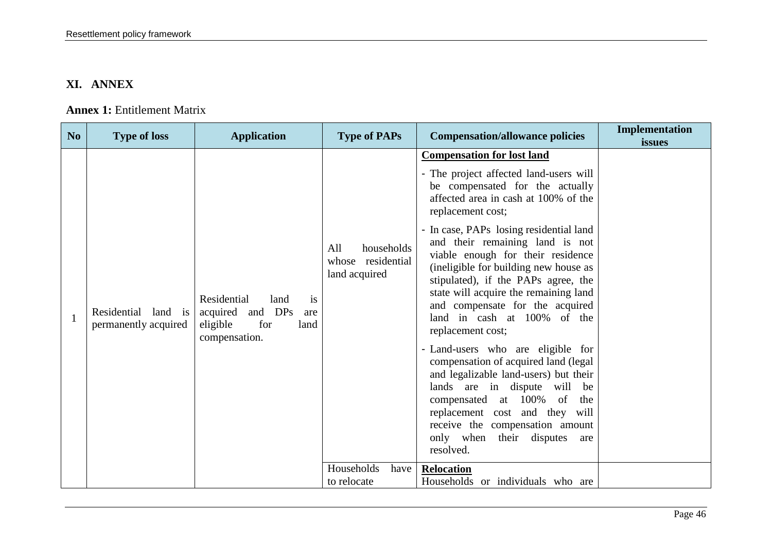#### **XI. ANNEX**

#### **Annex 1:** Entitlement Matrix

<span id="page-45-1"></span><span id="page-45-0"></span>

| No | <b>Type of loss</b>                         | <b>Application</b>                                                                               | <b>Type of PAPs</b>                                                              | <b>Compensation/allowance policies</b>                                                                                                                                                                                                                                                                                                                                                                                                                                                                                                                                                                                                                                                                                                                                                                                                             | Implementation<br>issues |
|----|---------------------------------------------|--------------------------------------------------------------------------------------------------|----------------------------------------------------------------------------------|----------------------------------------------------------------------------------------------------------------------------------------------------------------------------------------------------------------------------------------------------------------------------------------------------------------------------------------------------------------------------------------------------------------------------------------------------------------------------------------------------------------------------------------------------------------------------------------------------------------------------------------------------------------------------------------------------------------------------------------------------------------------------------------------------------------------------------------------------|--------------------------|
|    | Residential land is<br>permanently acquired | Residential<br>land<br>is<br>acquired and DPs<br>are<br>for<br>eligible<br>land<br>compensation. | All<br>households<br>residential<br>whose<br>land acquired<br>Households<br>have | <b>Compensation for lost land</b><br>- The project affected land-users will<br>be compensated for the actually<br>affected area in cash at 100% of the<br>replacement cost;<br>- In case, PAPs losing residential land<br>and their remaining land is not<br>viable enough for their residence<br>(ineligible for building new house as<br>stipulated), if the PAPs agree, the<br>state will acquire the remaining land<br>and compensate for the acquired<br>land in cash at 100% of the<br>replacement cost;<br>- Land-users who are eligible for<br>compensation of acquired land (legal<br>and legalizable land-users) but their<br>lands are in dispute will be<br>compensated at 100%<br>of<br>the<br>replacement cost and they will<br>receive the compensation amount<br>only when their disputes<br>are<br>resolved.<br><b>Relocation</b> |                          |
|    |                                             |                                                                                                  | to relocate                                                                      | Households or individuals who are                                                                                                                                                                                                                                                                                                                                                                                                                                                                                                                                                                                                                                                                                                                                                                                                                  |                          |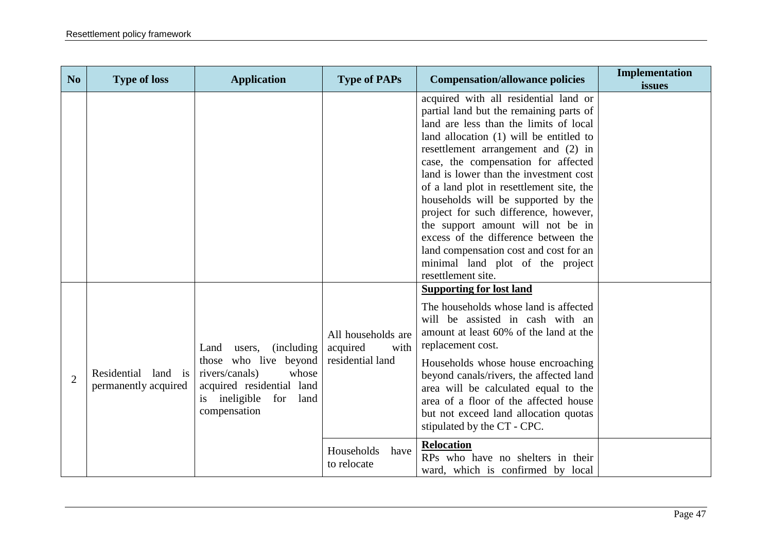| N <sub>o</sub> | <b>Type of loss</b>                         | <b>Application</b>                                                                                                                                                       | <b>Type of PAPs</b>                                        | <b>Compensation/allowance policies</b>                                                                                                                                                                                                                                                                                                                                                                                                                                                                                                                                                                     | <b>Implementation</b><br>issues |
|----------------|---------------------------------------------|--------------------------------------------------------------------------------------------------------------------------------------------------------------------------|------------------------------------------------------------|------------------------------------------------------------------------------------------------------------------------------------------------------------------------------------------------------------------------------------------------------------------------------------------------------------------------------------------------------------------------------------------------------------------------------------------------------------------------------------------------------------------------------------------------------------------------------------------------------------|---------------------------------|
|                |                                             |                                                                                                                                                                          |                                                            | acquired with all residential land or<br>partial land but the remaining parts of<br>land are less than the limits of local<br>land allocation (1) will be entitled to<br>resettlement arrangement and (2) in<br>case, the compensation for affected<br>land is lower than the investment cost<br>of a land plot in resettlement site, the<br>households will be supported by the<br>project for such difference, however,<br>the support amount will not be in<br>excess of the difference between the<br>land compensation cost and cost for an<br>minimal land plot of the project<br>resettlement site. |                                 |
| $\overline{2}$ | Residential land is<br>permanently acquired | <i>(including)</i><br>Land<br>users,<br>those who live beyond<br>whose<br>rivers/canals)<br>acquired residential land<br>ineligible<br>for<br>land<br>1S<br>compensation | All households are<br>acquired<br>with<br>residential land | <b>Supporting for lost land</b><br>The households whose land is affected<br>will be assisted in cash with an<br>amount at least 60% of the land at the<br>replacement cost.<br>Households whose house encroaching<br>beyond canals/rivers, the affected land<br>area will be calculated equal to the<br>area of a floor of the affected house<br>but not exceed land allocation quotas<br>stipulated by the CT - CPC.                                                                                                                                                                                      |                                 |
|                |                                             |                                                                                                                                                                          | Households<br>have<br>to relocate                          | Relocation<br>RPs who have no shelters in their<br>ward, which is confirmed by local                                                                                                                                                                                                                                                                                                                                                                                                                                                                                                                       |                                 |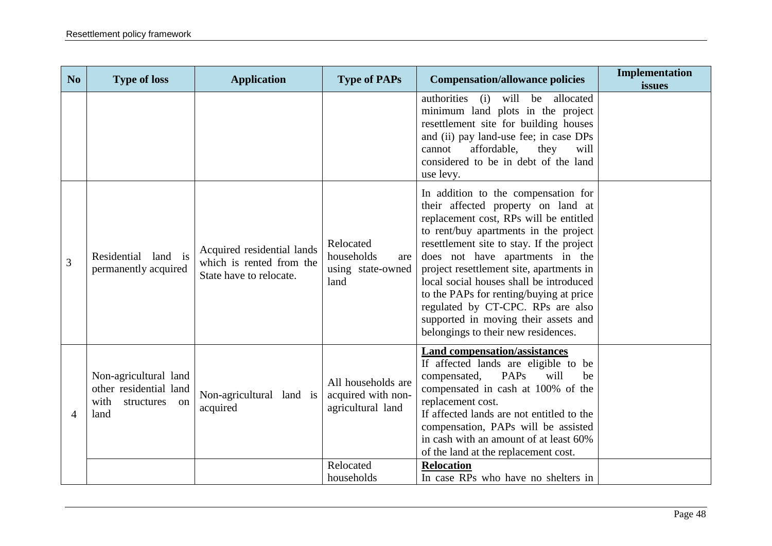| N <sub>o</sub>           | <b>Type of loss</b>                                                                 | <b>Application</b>                                                                | <b>Type of PAPs</b>                                                        | <b>Compensation/allowance policies</b>                                                                                                                                                                                                                                                                                                                                                                                                                                                             | Implementation<br>issues |
|--------------------------|-------------------------------------------------------------------------------------|-----------------------------------------------------------------------------------|----------------------------------------------------------------------------|----------------------------------------------------------------------------------------------------------------------------------------------------------------------------------------------------------------------------------------------------------------------------------------------------------------------------------------------------------------------------------------------------------------------------------------------------------------------------------------------------|--------------------------|
|                          |                                                                                     |                                                                                   |                                                                            | authorities<br>will be<br>allocated<br>(i)<br>minimum land plots in the project<br>resettlement site for building houses<br>and (ii) pay land-use fee; in case DPs<br>affordable,<br>they<br>will<br>cannot<br>considered to be in debt of the land<br>use levy.                                                                                                                                                                                                                                   |                          |
| 3                        | Residential<br>land is<br>permanently acquired                                      | Acquired residential lands<br>which is rented from the<br>State have to relocate. | Relocated<br>households<br>are<br>using state-owned<br>land                | In addition to the compensation for<br>their affected property on land at<br>replacement cost, RPs will be entitled<br>to rent/buy apartments in the project<br>resettlement site to stay. If the project<br>does not have apartments in the<br>project resettlement site, apartments in<br>local social houses shall be introduced<br>to the PAPs for renting/buying at price<br>regulated by CT-CPC. RPs are also<br>supported in moving their assets and<br>belongings to their new residences. |                          |
| $\boldsymbol{\varDelta}$ | Non-agricultural land<br>other residential land<br>with<br>structures<br>on<br>land | Non-agricultural land is<br>acquired                                              | All households are<br>acquired with non-<br>agricultural land<br>Relocated | <b>Land compensation/assistances</b><br>If affected lands are eligible to be<br>PAPs<br>will<br>compensated,<br>be<br>compensated in cash at 100% of the<br>replacement cost.<br>If affected lands are not entitled to the<br>compensation, PAPs will be assisted<br>in cash with an amount of at least 60%<br>of the land at the replacement cost.                                                                                                                                                |                          |
|                          |                                                                                     |                                                                                   | households                                                                 | <b>Relocation</b><br>In case RPs who have no shelters in                                                                                                                                                                                                                                                                                                                                                                                                                                           |                          |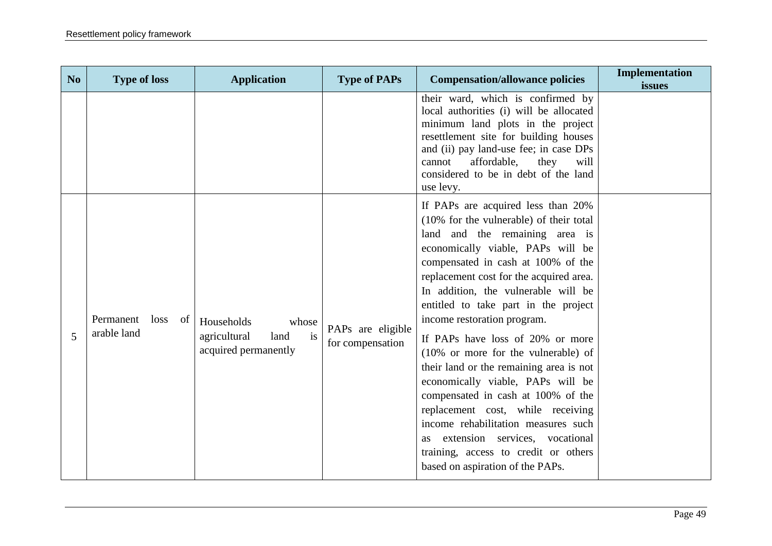| N <sub>o</sub> | <b>Type of loss</b>                    | <b>Application</b>                                                        | <b>Type of PAPs</b>                   | <b>Compensation/allowance policies</b>                                                                                                                                                                                                                                                                                                                                                                                                                                                                                                                                                                                                                                                                                                               | Implementation<br>issues |
|----------------|----------------------------------------|---------------------------------------------------------------------------|---------------------------------------|------------------------------------------------------------------------------------------------------------------------------------------------------------------------------------------------------------------------------------------------------------------------------------------------------------------------------------------------------------------------------------------------------------------------------------------------------------------------------------------------------------------------------------------------------------------------------------------------------------------------------------------------------------------------------------------------------------------------------------------------------|--------------------------|
|                |                                        |                                                                           |                                       | their ward, which is confirmed by<br>local authorities (i) will be allocated<br>minimum land plots in the project<br>resettlement site for building houses<br>and (ii) pay land-use fee; in case DPs<br>affordable,<br>they<br>cannot<br>will<br>considered to be in debt of the land<br>use levy.                                                                                                                                                                                                                                                                                                                                                                                                                                                   |                          |
| 5              | Permanent<br>loss<br>of<br>arable land | Households<br>whose<br>is<br>agricultural<br>land<br>acquired permanently | PAPs are eligible<br>for compensation | If PAPs are acquired less than 20%<br>$(10\%$ for the vulnerable) of their total<br>land and the remaining area is<br>economically viable, PAPs will be<br>compensated in cash at 100% of the<br>replacement cost for the acquired area.<br>In addition, the vulnerable will be<br>entitled to take part in the project<br>income restoration program.<br>If PAPs have loss of 20% or more<br>(10% or more for the vulnerable) of<br>their land or the remaining area is not<br>economically viable, PAPs will be<br>compensated in cash at 100% of the<br>replacement cost, while receiving<br>income rehabilitation measures such<br>as extension services, vocational<br>training, access to credit or others<br>based on aspiration of the PAPs. |                          |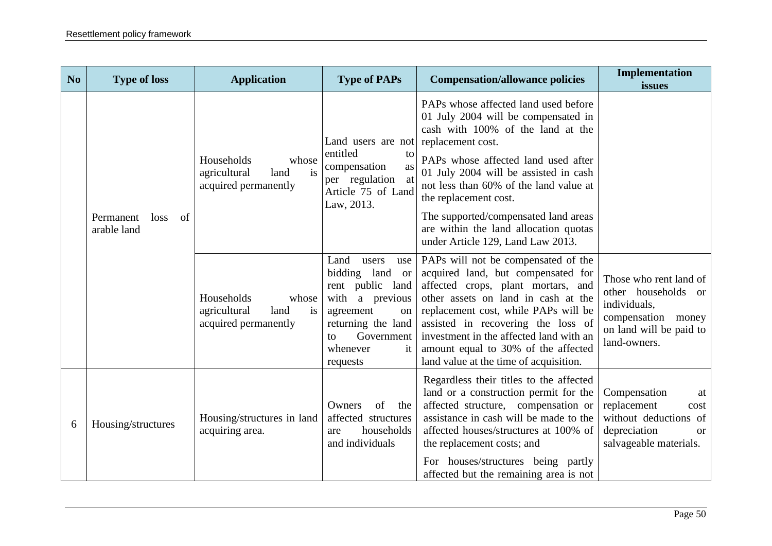| N <sub>o</sub> | <b>Type of loss</b>                    | <b>Application</b>                                                        | <b>Type of PAPs</b>                                                                                                                                                                 | <b>Compensation/allowance policies</b>                                                                                                                                                                                                                                                                                                                                                                         | Implementation<br>issues                                                                                                       |
|----------------|----------------------------------------|---------------------------------------------------------------------------|-------------------------------------------------------------------------------------------------------------------------------------------------------------------------------------|----------------------------------------------------------------------------------------------------------------------------------------------------------------------------------------------------------------------------------------------------------------------------------------------------------------------------------------------------------------------------------------------------------------|--------------------------------------------------------------------------------------------------------------------------------|
|                | Permanent<br>of<br>loss<br>arable land | Households<br>whose<br>agricultural<br>land<br>is<br>acquired permanently | Land users are not<br>entitled<br>to<br>compensation<br>as<br>per regulation<br>at<br>Article 75 of Land<br>Law, 2013.                                                              | PAPs whose affected land used before<br>01 July 2004 will be compensated in<br>cash with 100% of the land at the<br>replacement cost.<br>PAPs whose affected land used after<br>01 July 2004 will be assisted in cash<br>not less than 60% of the land value at<br>the replacement cost.<br>The supported/compensated land areas<br>are within the land allocation quotas<br>under Article 129, Land Law 2013. |                                                                                                                                |
|                |                                        | Households<br>whose<br>agricultural<br>is<br>land<br>acquired permanently | Land<br>users<br>use<br>bidding land<br><b>or</b><br>rent public land<br>with a previous<br>agreement<br>on<br>returning the land<br>Government<br>tΩ<br>whenever<br>it<br>requests | PAPs will not be compensated of the<br>acquired land, but compensated for<br>affected crops, plant mortars, and<br>other assets on land in cash at the<br>replacement cost, while PAPs will be<br>assisted in recovering the loss of<br>investment in the affected land with an<br>amount equal to 30% of the affected<br>land value at the time of acquisition.                                               | Those who rent land of<br>other households or<br>individuals,<br>compensation money<br>on land will be paid to<br>land-owners. |
| 6              | Housing/structures                     | Housing/structures in land<br>acquiring area.                             | of<br>Owners<br>the<br>affected structures<br>households<br>are<br>and individuals                                                                                                  | Regardless their titles to the affected<br>land or a construction permit for the<br>affected structure, compensation or<br>assistance in cash will be made to the<br>affected houses/structures at 100% of<br>the replacement costs; and<br>For houses/structures being partly<br>affected but the remaining area is not                                                                                       | Compensation<br>at<br>replacement<br>cost<br>without deductions of<br>depreciation<br><sub>or</sub><br>salvageable materials.  |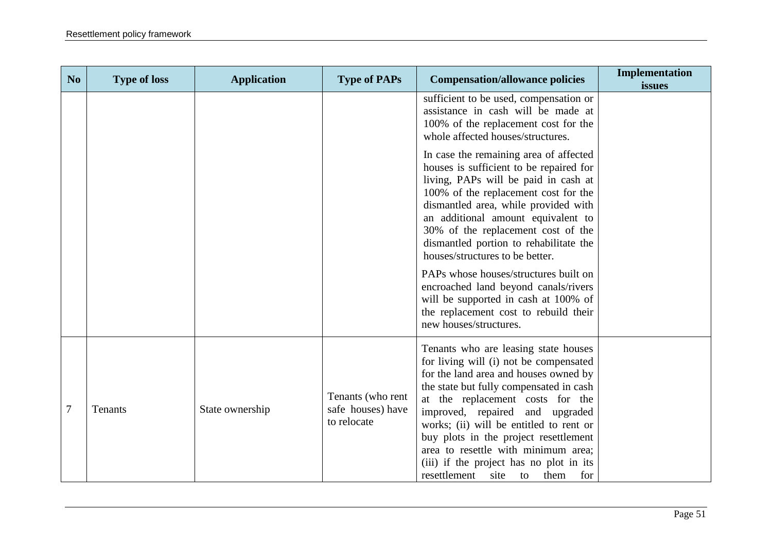| N <sub>o</sub>   | <b>Type of loss</b> | <b>Application</b> | <b>Type of PAPs</b>                                   | <b>Compensation/allowance policies</b>                                                                                                                                                                                                                                                                                                                                                                                                                       | Implementation<br>issues |
|------------------|---------------------|--------------------|-------------------------------------------------------|--------------------------------------------------------------------------------------------------------------------------------------------------------------------------------------------------------------------------------------------------------------------------------------------------------------------------------------------------------------------------------------------------------------------------------------------------------------|--------------------------|
|                  |                     |                    |                                                       | sufficient to be used, compensation or<br>assistance in cash will be made at<br>100% of the replacement cost for the<br>whole affected houses/structures.                                                                                                                                                                                                                                                                                                    |                          |
|                  |                     |                    |                                                       | In case the remaining area of affected<br>houses is sufficient to be repaired for<br>living, PAPs will be paid in cash at<br>100% of the replacement cost for the<br>dismantled area, while provided with<br>an additional amount equivalent to<br>30% of the replacement cost of the<br>dismantled portion to rehabilitate the<br>houses/structures to be better.                                                                                           |                          |
|                  |                     |                    |                                                       | PAPs whose houses/structures built on<br>encroached land beyond canals/rivers<br>will be supported in cash at 100% of<br>the replacement cost to rebuild their<br>new houses/structures.                                                                                                                                                                                                                                                                     |                          |
| $\boldsymbol{7}$ | Tenants             | State ownership    | Tenants (who rent<br>safe houses) have<br>to relocate | Tenants who are leasing state houses<br>for living will (i) not be compensated<br>for the land area and houses owned by<br>the state but fully compensated in cash<br>at the replacement costs for the<br>improved, repaired and upgraded<br>works; (ii) will be entitled to rent or<br>buy plots in the project resettlement<br>area to resettle with minimum area;<br>(iii) if the project has no plot in its<br>resettlement<br>site<br>them<br>for<br>to |                          |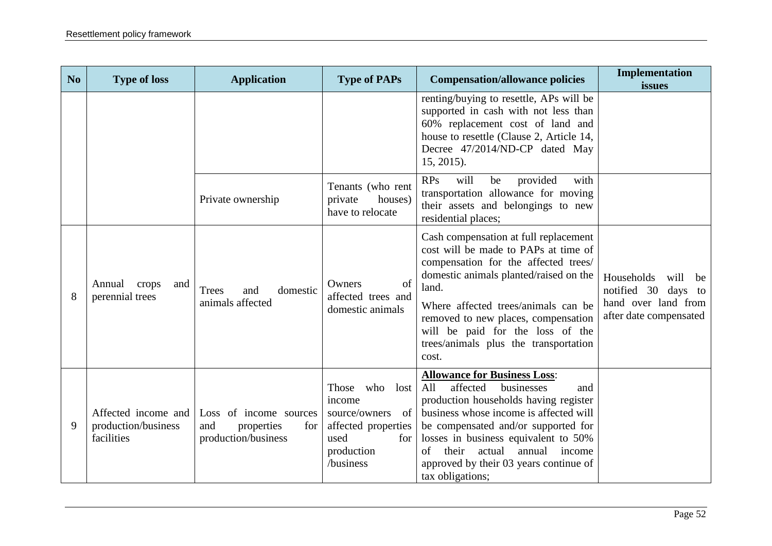| N <sub>o</sub> | <b>Type of loss</b>                                      | <b>Application</b>                                                        | <b>Type of PAPs</b>                                                                                                                 | <b>Compensation/allowance policies</b>                                                                                                                                                                                                                                                                                                                | Implementation<br>issues                                                                         |
|----------------|----------------------------------------------------------|---------------------------------------------------------------------------|-------------------------------------------------------------------------------------------------------------------------------------|-------------------------------------------------------------------------------------------------------------------------------------------------------------------------------------------------------------------------------------------------------------------------------------------------------------------------------------------------------|--------------------------------------------------------------------------------------------------|
|                |                                                          |                                                                           |                                                                                                                                     | renting/buying to resettle, APs will be<br>supported in cash with not less than<br>60% replacement cost of land and<br>house to resettle (Clause 2, Article 14,<br>Decree 47/2014/ND-CP dated May<br>$15, 2015$ ).                                                                                                                                    |                                                                                                  |
|                |                                                          | Private ownership                                                         | Tenants (who rent<br>houses)<br>private<br>have to relocate                                                                         | RPs<br>will<br>provided<br>be<br>with<br>transportation allowance for moving<br>their assets and belongings to new<br>residential places;                                                                                                                                                                                                             |                                                                                                  |
| 8              | Annual<br>crops<br>and<br>perennial trees                | <b>Trees</b><br>domestic<br>and<br>animals affected                       | of<br>Owners<br>affected trees and<br>domestic animals                                                                              | Cash compensation at full replacement<br>cost will be made to PAPs at time of<br>compensation for the affected trees/<br>domestic animals planted/raised on the<br>land.<br>Where affected trees/animals can be<br>removed to new places, compensation<br>will be paid for the loss of the<br>trees/animals plus the transportation<br>cost.          | Households<br>will<br>be<br>notified 30 days to<br>hand over land from<br>after date compensated |
| 9              | Affected income and<br>production/business<br>facilities | Loss of income sources<br>and<br>properties<br>for<br>production/business | who<br>Those<br>lost<br>income<br>source/owners<br>of<br>affected properties<br>used<br>for <sub>1</sub><br>production<br>/business | <b>Allowance for Business Loss:</b><br>affected<br>businesses<br>All<br>and<br>production households having register<br>business whose income is affected will<br>be compensated and/or supported for<br>losses in business equivalent to 50%<br>their<br>actual<br>annual income<br>of<br>approved by their 03 years continue of<br>tax obligations; |                                                                                                  |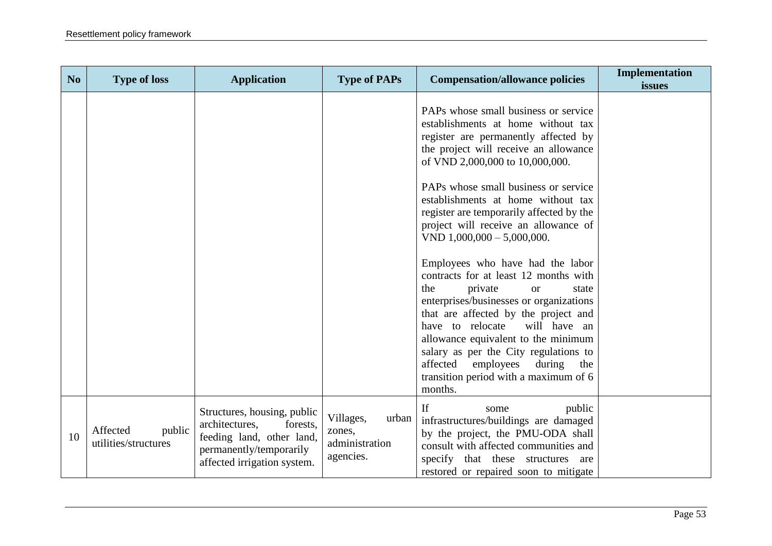| No. | <b>Type of loss</b>                        | <b>Application</b>                                                                                                                               | <b>Type of PAPs</b>                                         | <b>Compensation/allowance policies</b>                                                                                                                                                                                                                                                                                                                                                                                                                                                                                                                                                                                                        | Implementation<br>issues |
|-----|--------------------------------------------|--------------------------------------------------------------------------------------------------------------------------------------------------|-------------------------------------------------------------|-----------------------------------------------------------------------------------------------------------------------------------------------------------------------------------------------------------------------------------------------------------------------------------------------------------------------------------------------------------------------------------------------------------------------------------------------------------------------------------------------------------------------------------------------------------------------------------------------------------------------------------------------|--------------------------|
|     |                                            |                                                                                                                                                  |                                                             | PAPs whose small business or service<br>establishments at home without tax<br>register are permanently affected by<br>the project will receive an allowance<br>of VND 2,000,000 to 10,000,000.<br>PAPs whose small business or service<br>establishments at home without tax<br>register are temporarily affected by the<br>project will receive an allowance of<br>VND $1,000,000 - 5,000,000$ .<br>Employees who have had the labor<br>contracts for at least 12 months with<br>the<br>private<br><b>or</b><br>state<br>enterprises/businesses or organizations<br>that are affected by the project and<br>will have an<br>have to relocate |                          |
|     |                                            |                                                                                                                                                  |                                                             | allowance equivalent to the minimum<br>salary as per the City regulations to<br>affected<br>employees<br>during<br>the<br>transition period with a maximum of 6<br>months.                                                                                                                                                                                                                                                                                                                                                                                                                                                                    |                          |
| 10  | Affected<br>public<br>utilities/structures | Structures, housing, public<br>forests,<br>architectures,<br>feeding land, other land,<br>permanently/temporarily<br>affected irrigation system. | Villages,<br>urban<br>zones,<br>administration<br>agencies. | If<br>public<br>some<br>infrastructures/buildings are damaged<br>by the project, the PMU-ODA shall<br>consult with affected communities and<br>specify that these structures are<br>restored or repaired soon to mitigate                                                                                                                                                                                                                                                                                                                                                                                                                     |                          |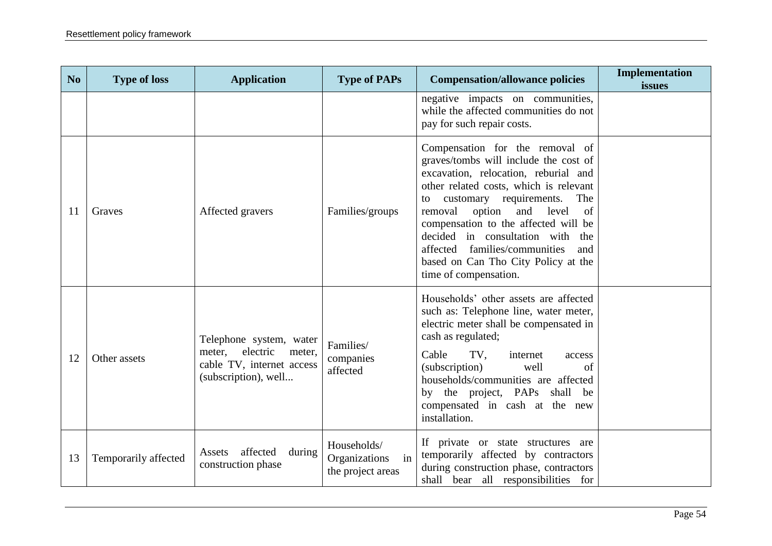| No. | <b>Type of loss</b>  | <b>Application</b>                                                                                           | <b>Type of PAPs</b>                                     | <b>Compensation/allowance policies</b>                                                                                                                                                                                                                                                                                                                                                                                               | Implementation<br>issues |
|-----|----------------------|--------------------------------------------------------------------------------------------------------------|---------------------------------------------------------|--------------------------------------------------------------------------------------------------------------------------------------------------------------------------------------------------------------------------------------------------------------------------------------------------------------------------------------------------------------------------------------------------------------------------------------|--------------------------|
|     |                      |                                                                                                              |                                                         | negative impacts on communities,<br>while the affected communities do not<br>pay for such repair costs.                                                                                                                                                                                                                                                                                                                              |                          |
| 11  | Graves               | Affected gravers                                                                                             | Families/groups                                         | Compensation for the removal of<br>graves/tombs will include the cost of<br>excavation, relocation, reburial and<br>other related costs, which is relevant<br>customary requirements.<br>The<br>to<br>of<br>removal<br>option<br>and<br>level<br>compensation to the affected will be<br>decided in consultation with<br>the<br>affected families/communities<br>and<br>based on Can Tho City Policy at the<br>time of compensation. |                          |
| 12  | Other assets         | Telephone system, water<br>electric<br>meter,<br>meter,<br>cable TV, internet access<br>(subscription), well | Families/<br>companies<br>affected                      | Households' other assets are affected<br>such as: Telephone line, water meter,<br>electric meter shall be compensated in<br>cash as regulated;<br>Cable<br>TV,<br>internet<br>access<br>(subscription)<br>well<br>of<br>households/communities are affected<br>by the project, PAPs shall be<br>compensated in cash at the new<br>installation.                                                                                      |                          |
| 13  | Temporarily affected | affected<br>during<br>Assets<br>construction phase                                                           | Households/<br>Organizations<br>in<br>the project areas | If private or state structures are<br>temporarily affected by contractors<br>during construction phase, contractors<br>shall bear all responsibilities for                                                                                                                                                                                                                                                                           |                          |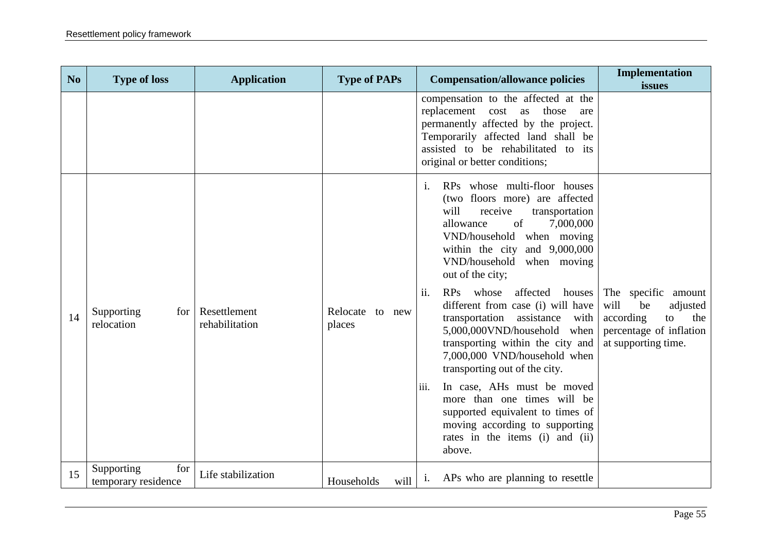| N <sub>o</sub> | <b>Type of loss</b>                      | <b>Application</b>             | <b>Type of PAPs</b>       | <b>Compensation/allowance policies</b>                                                                                                                                                                                                                                                                                                                                                                                                                                                                                                                                                                                                                                                                                 | Implementation<br>issues                                                                                                  |
|----------------|------------------------------------------|--------------------------------|---------------------------|------------------------------------------------------------------------------------------------------------------------------------------------------------------------------------------------------------------------------------------------------------------------------------------------------------------------------------------------------------------------------------------------------------------------------------------------------------------------------------------------------------------------------------------------------------------------------------------------------------------------------------------------------------------------------------------------------------------------|---------------------------------------------------------------------------------------------------------------------------|
|                |                                          |                                |                           | compensation to the affected at the<br>replacement cost as<br>those<br>are<br>permanently affected by the project.<br>Temporarily affected land shall be<br>assisted to be rehabilitated to its<br>original or better conditions;                                                                                                                                                                                                                                                                                                                                                                                                                                                                                      |                                                                                                                           |
| 14             | Supporting<br>for<br>relocation          | Resettlement<br>rehabilitation | Relocate to new<br>places | RPs whose multi-floor houses<br>$\mathbf{i}$ .<br>(two floors more) are affected<br>will<br>receive<br>transportation<br>of<br>7,000,000<br>allowance<br>VND/household when moving<br>within the city and $9,000,000$<br>VND/household when moving<br>out of the city;<br>ii.<br>RPs<br>whose<br>affected<br>houses<br>different from case (i) will have<br>transportation assistance with<br>5,000,000VND/household when<br>transporting within the city and<br>7,000,000 VND/household when<br>transporting out of the city.<br>iii.<br>In case, AHs must be moved<br>more than one times will be<br>supported equivalent to times of<br>moving according to supporting<br>rates in the items (i) and (ii)<br>above. | The specific amount<br>will<br>be<br>adjusted<br>according<br>to<br>the<br>percentage of inflation<br>at supporting time. |
| 15             | for<br>Supporting<br>temporary residence | Life stabilization             | Households<br>will        | i. APs who are planning to resettle                                                                                                                                                                                                                                                                                                                                                                                                                                                                                                                                                                                                                                                                                    |                                                                                                                           |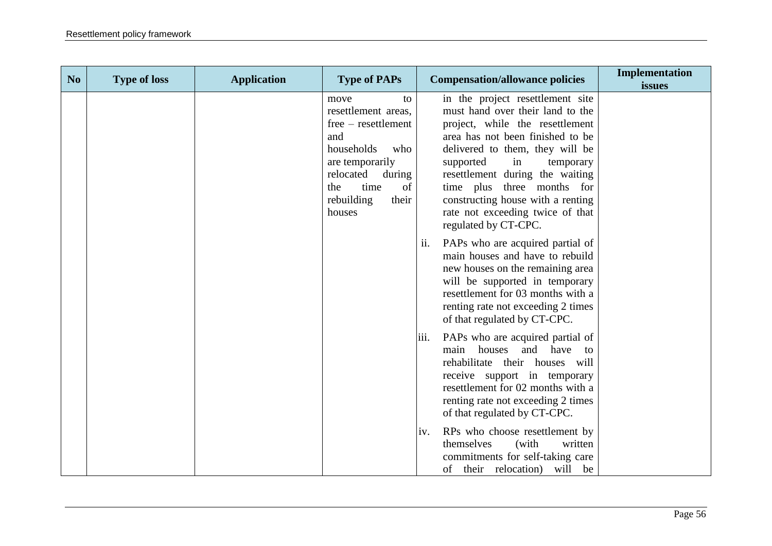| N <sub>o</sub> | <b>Type of loss</b> | <b>Application</b> | <b>Type of PAPs</b>                                                                                                                                                                  | <b>Compensation/allowance policies</b>                                                                                                                                                                                                                                                                                                                                           | Implementation<br>issues |
|----------------|---------------------|--------------------|--------------------------------------------------------------------------------------------------------------------------------------------------------------------------------------|----------------------------------------------------------------------------------------------------------------------------------------------------------------------------------------------------------------------------------------------------------------------------------------------------------------------------------------------------------------------------------|--------------------------|
|                |                     |                    | move<br>to<br>resettlement areas,<br>free – resettlement<br>and<br>households<br>who<br>are temporarily<br>relocated<br>during<br>of<br>time<br>the<br>rebuilding<br>their<br>houses | in the project resettlement site<br>must hand over their land to the<br>project, while the resettlement<br>area has not been finished to be<br>delivered to them, they will be<br>supported<br>in<br>temporary<br>resettlement during the waiting<br>time plus three months for<br>constructing house with a renting<br>rate not exceeding twice of that<br>regulated by CT-CPC. |                          |
|                |                     |                    |                                                                                                                                                                                      | PAPs who are acquired partial of<br>ii.<br>main houses and have to rebuild<br>new houses on the remaining area<br>will be supported in temporary<br>resettlement for 03 months with a<br>renting rate not exceeding 2 times<br>of that regulated by CT-CPC.                                                                                                                      |                          |
|                |                     |                    |                                                                                                                                                                                      | PAPs who are acquired partial of<br>iii.<br>houses<br>and have to<br>main<br>rehabilitate their houses will<br>receive support in temporary<br>resettlement for 02 months with a<br>renting rate not exceeding 2 times<br>of that regulated by CT-CPC.                                                                                                                           |                          |
|                |                     |                    |                                                                                                                                                                                      | RPs who choose resettlement by<br>iv.<br>themselves<br>(with<br>written<br>commitments for self-taking care<br>of<br>their relocation)<br>will be                                                                                                                                                                                                                                |                          |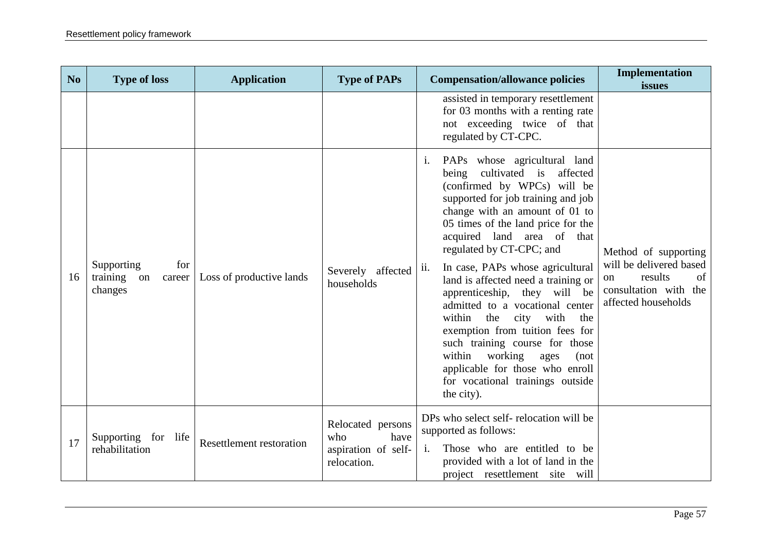| N <sub>o</sub> | <b>Type of loss</b>                                      | <b>Application</b>              | <b>Type of PAPs</b>                                                    | <b>Compensation/allowance policies</b>                                                                                                                                                                                                                                                                                                                                                                                                                                                                                                                                                                                                                                             | Implementation<br>issues                                                                                               |
|----------------|----------------------------------------------------------|---------------------------------|------------------------------------------------------------------------|------------------------------------------------------------------------------------------------------------------------------------------------------------------------------------------------------------------------------------------------------------------------------------------------------------------------------------------------------------------------------------------------------------------------------------------------------------------------------------------------------------------------------------------------------------------------------------------------------------------------------------------------------------------------------------|------------------------------------------------------------------------------------------------------------------------|
|                |                                                          |                                 |                                                                        | assisted in temporary resettlement<br>for 03 months with a renting rate<br>not exceeding twice of that<br>regulated by CT-CPC.                                                                                                                                                                                                                                                                                                                                                                                                                                                                                                                                                     |                                                                                                                        |
| 16             | Supporting<br>for<br>training<br>on<br>career<br>changes | Loss of productive lands        | Severely affected<br>households                                        | PAPs whose agricultural land<br>$\mathbf{i}$ .<br>cultivated is affected<br>being<br>(confirmed by WPCs) will be<br>supported for job training and job<br>change with an amount of 01 to<br>05 times of the land price for the<br>acquired land area of that<br>regulated by CT-CPC; and<br>In case, PAPs whose agricultural<br>ii.<br>land is affected need a training or<br>apprenticeship, they will be<br>admitted to a vocational center<br>city with<br>within<br>the<br>the<br>exemption from tuition fees for<br>such training course for those<br>working<br>within<br>ages<br>(not)<br>applicable for those who enroll<br>for vocational trainings outside<br>the city). | Method of supporting<br>will be delivered based<br>results<br>of<br>on<br>consultation with the<br>affected households |
| 17             | Supporting for life<br>rehabilitation                    | <b>Resettlement restoration</b> | Relocated persons<br>have<br>who<br>aspiration of self-<br>relocation. | DPs who select self-relocation will be<br>supported as follows:<br>Those who are entitled to be<br>$\mathbf{i}$ .<br>provided with a lot of land in the<br>project resettlement site will                                                                                                                                                                                                                                                                                                                                                                                                                                                                                          |                                                                                                                        |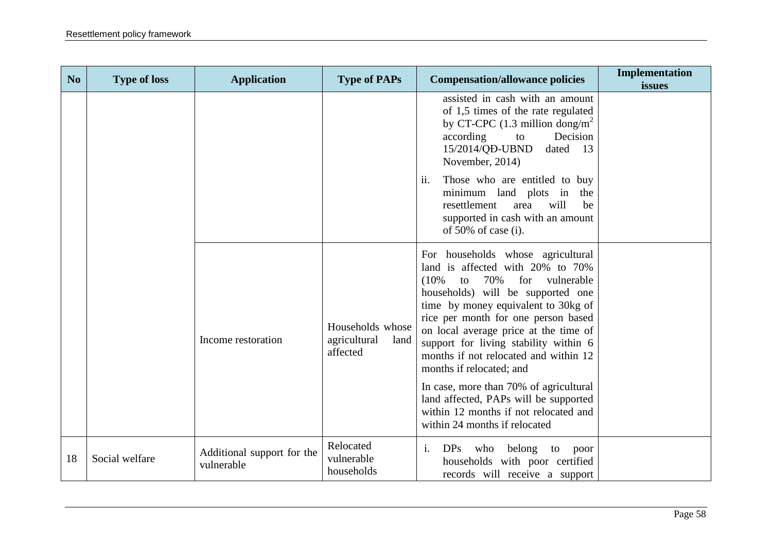| N <sub>o</sub> | <b>Type of loss</b> | <b>Application</b>                       | <b>Type of PAPs</b>                                  | <b>Compensation/allowance policies</b>                                                                                                                                                                                                                                                                                                                                                                                                                                                                                                                    | Implementation<br>issues |
|----------------|---------------------|------------------------------------------|------------------------------------------------------|-----------------------------------------------------------------------------------------------------------------------------------------------------------------------------------------------------------------------------------------------------------------------------------------------------------------------------------------------------------------------------------------------------------------------------------------------------------------------------------------------------------------------------------------------------------|--------------------------|
|                |                     |                                          |                                                      | assisted in cash with an amount<br>of 1,5 times of the rate regulated<br>by CT-CPC (1.3 million dong/m <sup>2</sup><br>according<br>Decision<br>to<br>15/2014/QD-UBND<br>dated<br>13<br>November, 2014)<br>Those who are entitled to buy<br>ii.                                                                                                                                                                                                                                                                                                           |                          |
|                |                     |                                          |                                                      | minimum land plots in the<br>will<br>resettlement<br>area<br>be<br>supported in cash with an amount<br>of $50\%$ of case (i).                                                                                                                                                                                                                                                                                                                                                                                                                             |                          |
|                |                     | Income restoration                       | Households whose<br>agricultural<br>land<br>affected | For households whose agricultural<br>land is affected with 20% to 70%<br>70%<br>vulnerable<br>$(10\%$<br>for<br>to<br>households) will be supported one<br>time by money equivalent to 30kg of<br>rice per month for one person based<br>on local average price at the time of<br>support for living stability within 6<br>months if not relocated and within 12<br>months if relocated; and<br>In case, more than 70% of agricultural<br>land affected, PAPs will be supported<br>within 12 months if not relocated and<br>within 24 months if relocated |                          |
| 18             | Social welfare      | Additional support for the<br>vulnerable | Relocated<br>vulnerable<br>households                | $\mathbf{i}$ .<br>DPs who<br>belong<br>to<br>poor<br>households with poor certified<br>records will receive a support                                                                                                                                                                                                                                                                                                                                                                                                                                     |                          |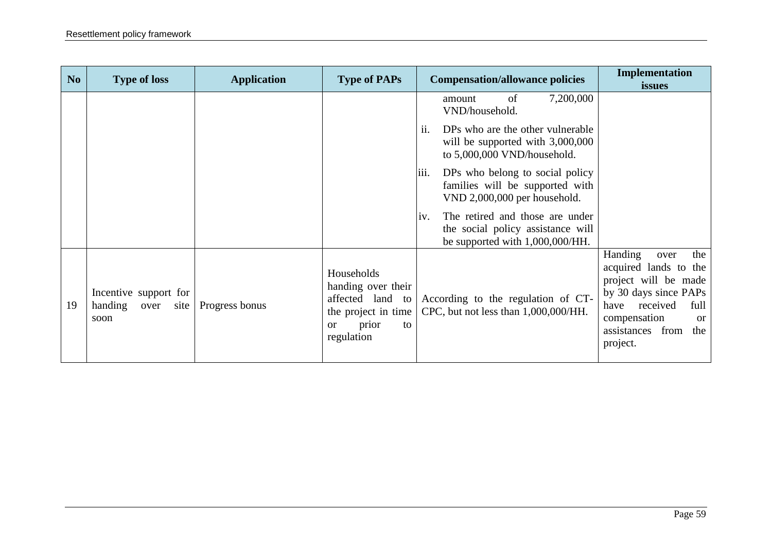| No | <b>Type of loss</b>                                      | <b>Application</b> | <b>Type of PAPs</b>                                                                                                   | <b>Compensation/allowance policies</b>                                                                         | Implementation<br>issues                                                                                                                                                                             |
|----|----------------------------------------------------------|--------------------|-----------------------------------------------------------------------------------------------------------------------|----------------------------------------------------------------------------------------------------------------|------------------------------------------------------------------------------------------------------------------------------------------------------------------------------------------------------|
|    |                                                          |                    |                                                                                                                       | 7,200,000<br>of<br>amount<br>VND/household.                                                                    |                                                                                                                                                                                                      |
|    |                                                          |                    |                                                                                                                       | ii.<br>DPs who are the other vulnerable<br>will be supported with 3,000,000<br>to 5,000,000 VND/household.     |                                                                                                                                                                                                      |
|    |                                                          |                    |                                                                                                                       | iii.<br>DPs who belong to social policy<br>families will be supported with<br>VND 2,000,000 per household.     |                                                                                                                                                                                                      |
|    |                                                          |                    |                                                                                                                       | The retired and those are under<br>iv.<br>the social policy assistance will<br>be supported with 1,000,000/HH. |                                                                                                                                                                                                      |
| 19 | Incentive support for<br>handing<br>site<br>over<br>soon | Progress bonus     | Households<br>handing over their<br>affected land to<br>the project in time<br>prior<br>to<br><b>or</b><br>regulation | According to the regulation of CT-<br>CPC, but not less than 1,000,000/HH.                                     | Handing<br>the<br>over<br>acquired lands to the<br>project will be made<br>by 30 days since PAPs<br>received<br>full<br>have<br>compensation<br><sub>or</sub><br>assistances from<br>the<br>project. |